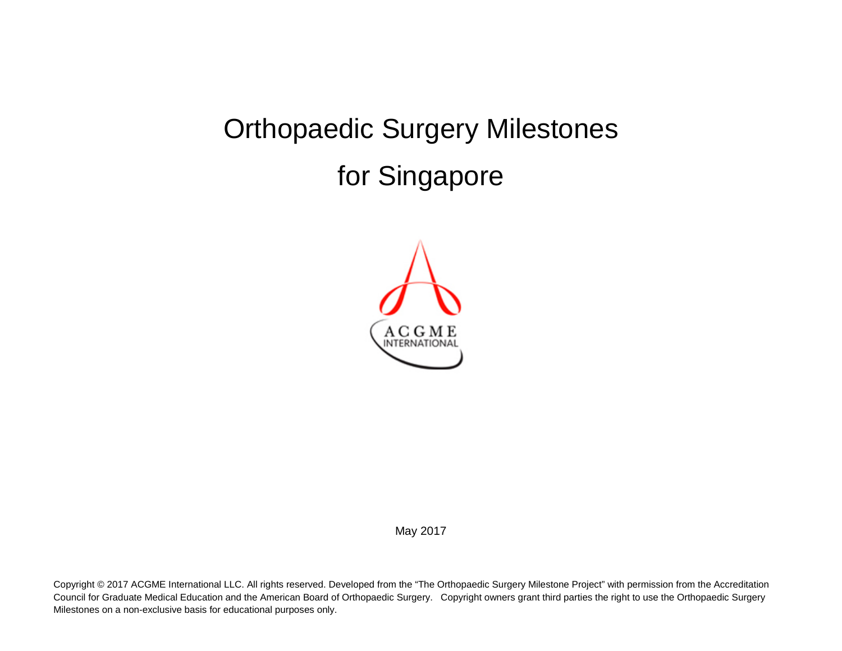# Orthopaedic Surgery Milestones for Singapore



May 2017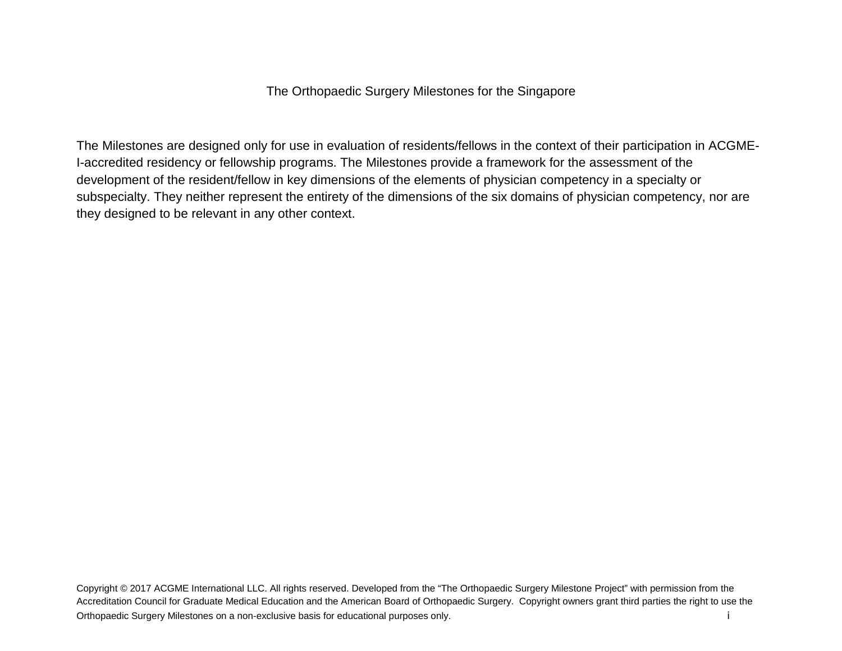## The Orthopaedic Surgery Milestones for the Singapore

The Milestones are designed only for use in evaluation of residents/fellows in the context of their participation in ACGME-I-accredited residency or fellowship programs. The Milestones provide a framework for the assessment of the development of the resident/fellow in key dimensions of the elements of physician competency in a specialty or subspecialty. They neither represent the entirety of the dimensions of the six domains of physician competency, nor are they designed to be relevant in any other context.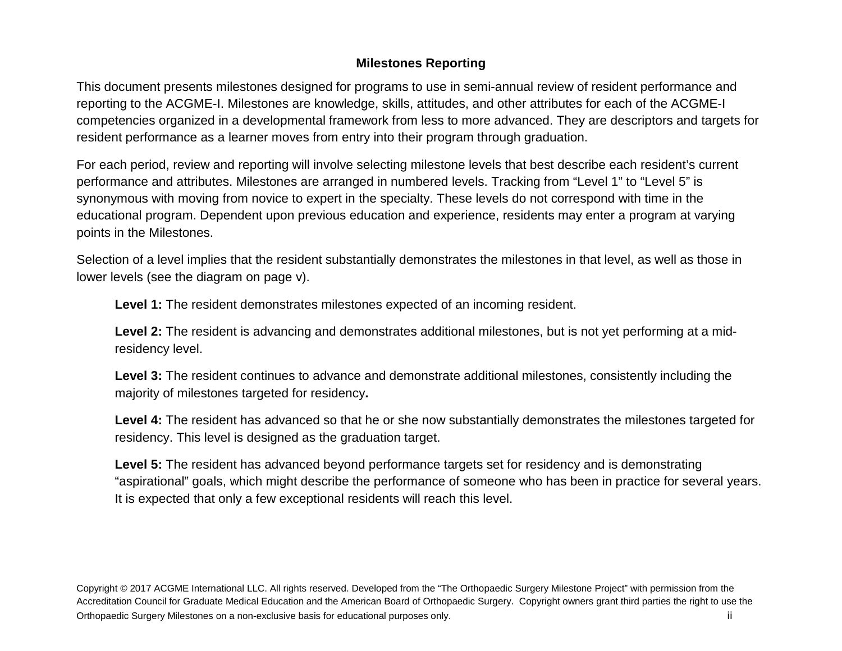# **Milestones Reporting**

This document presents milestones designed for programs to use in semi-annual review of resident performance and reporting to the ACGME-I. Milestones are knowledge, skills, attitudes, and other attributes for each of the ACGME-I competencies organized in a developmental framework from less to more advanced. They are descriptors and targets for resident performance as a learner moves from entry into their program through graduation.

For each period, review and reporting will involve selecting milestone levels that best describe each resident's current performance and attributes. Milestones are arranged in numbered levels. Tracking from "Level 1" to "Level 5" is synonymous with moving from novice to expert in the specialty. These levels do not correspond with time in the educational program. Dependent upon previous education and experience, residents may enter a program at varying points in the Milestones.

Selection of a level implies that the resident substantially demonstrates the milestones in that level, as well as those in lower levels (see the diagram on page v).

Level 1: The resident demonstrates milestones expected of an incoming resident.

**Level 2:** The resident is advancing and demonstrates additional milestones, but is not yet performing at a midresidency level.

**Level 3:** The resident continues to advance and demonstrate additional milestones, consistently including the majority of milestones targeted for residency**.** 

**Level 4:** The resident has advanced so that he or she now substantially demonstrates the milestones targeted for residency. This level is designed as the graduation target.

**Level 5:** The resident has advanced beyond performance targets set for residency and is demonstrating "aspirational" goals, which might describe the performance of someone who has been in practice for several years. It is expected that only a few exceptional residents will reach this level.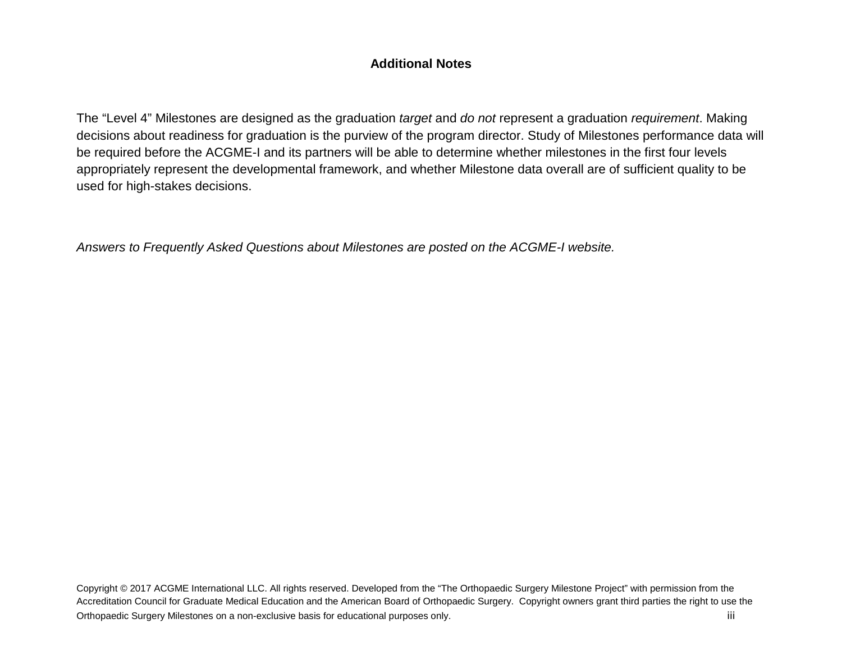## **Additional Notes**

The "Level 4" Milestones are designed as the graduation *target* and *do not* represent a graduation *requirement*. Making decisions about readiness for graduation is the purview of the program director. Study of Milestones performance data will be required before the ACGME-I and its partners will be able to determine whether milestones in the first four levels appropriately represent the developmental framework, and whether Milestone data overall are of sufficient quality to be used for high-stakes decisions.

*Answers to Frequently Asked Questions about Milestones are posted on the ACGME-I website.*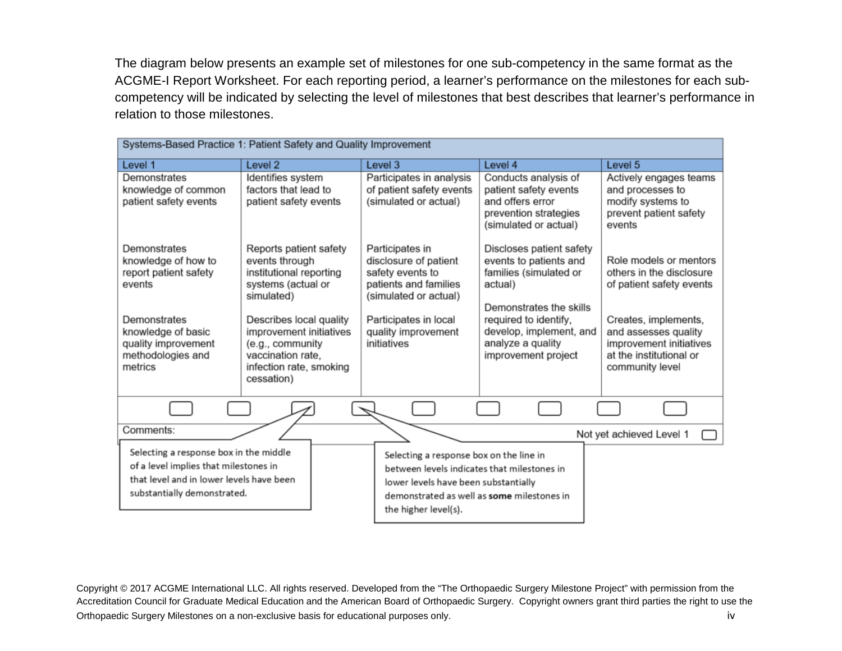The diagram below presents an example set of milestones for one sub-competency in the same format as the ACGME-I Report Worksheet. For each reporting period, a learner's performance on the milestones for each subcompetency will be indicated by selecting the level of milestones that best describes that learner's performance in relation to those milestones.

| Systems-Based Practice 1: Patient Safety and Quality Improvement                                                                                                    |                                                                                                                                                                                                                                                 |                                                                                                                                                                                                      |                                                                                                                                                                                                                    |                                                                                                                                                                                                         |
|---------------------------------------------------------------------------------------------------------------------------------------------------------------------|-------------------------------------------------------------------------------------------------------------------------------------------------------------------------------------------------------------------------------------------------|------------------------------------------------------------------------------------------------------------------------------------------------------------------------------------------------------|--------------------------------------------------------------------------------------------------------------------------------------------------------------------------------------------------------------------|---------------------------------------------------------------------------------------------------------------------------------------------------------------------------------------------------------|
| Level 1                                                                                                                                                             | Level 2                                                                                                                                                                                                                                         | Level 3                                                                                                                                                                                              | Level 4                                                                                                                                                                                                            | Level 5                                                                                                                                                                                                 |
| Demonstrates<br>knowledge of common<br>patient safety events                                                                                                        | Identifies system<br>factors that lead to<br>patient safety events                                                                                                                                                                              | Participates in analysis<br>of patient safety events<br>(simulated or actual)                                                                                                                        | Conducts analysis of<br>patient safety events<br>and offers error<br>prevention strategies<br>(simulated or actual)                                                                                                | Actively engages teams<br>and processes to<br>modify systems to<br>prevent patient safety<br>events                                                                                                     |
| Demonstrates<br>knowledge of how to<br>report patient safety<br>events<br>Demonstrates<br>knowledge of basic<br>quality improvement<br>methodologies and<br>metrics | Reports patient safety<br>events through<br>institutional reporting<br>systems (actual or<br>simulated)<br>Describes local quality<br>improvement initiatives<br>(e.g., community<br>vaccination rate.<br>infection rate, smoking<br>cessation) | Participates in<br>disclosure of patient<br>safety events to<br>patients and families<br>(simulated or actual)<br>Participates in local<br>quality improvement<br>initiatives                        | Discloses patient safety<br>events to patients and<br>families (simulated or<br>actual)<br>Demonstrates the skills<br>required to identify,<br>develop, implement, and<br>analyze a quality<br>improvement project | Role models or mentors<br>others in the disclosure<br>of patient safety events<br>Creates, implements,<br>and assesses quality<br>improvement initiatives<br>at the institutional or<br>community level |
|                                                                                                                                                                     |                                                                                                                                                                                                                                                 |                                                                                                                                                                                                      |                                                                                                                                                                                                                    |                                                                                                                                                                                                         |
| Comments:                                                                                                                                                           |                                                                                                                                                                                                                                                 |                                                                                                                                                                                                      |                                                                                                                                                                                                                    | Not yet achieved Level 1                                                                                                                                                                                |
| Selecting a response box in the middle<br>of a level implies that milestones in<br>that level and in lower levels have been<br>substantially demonstrated.          |                                                                                                                                                                                                                                                 | Selecting a response box on the line in<br>between levels indicates that milestones in<br>lower levels have been substantially<br>demonstrated as well as some milestones in<br>the higher level(s). |                                                                                                                                                                                                                    |                                                                                                                                                                                                         |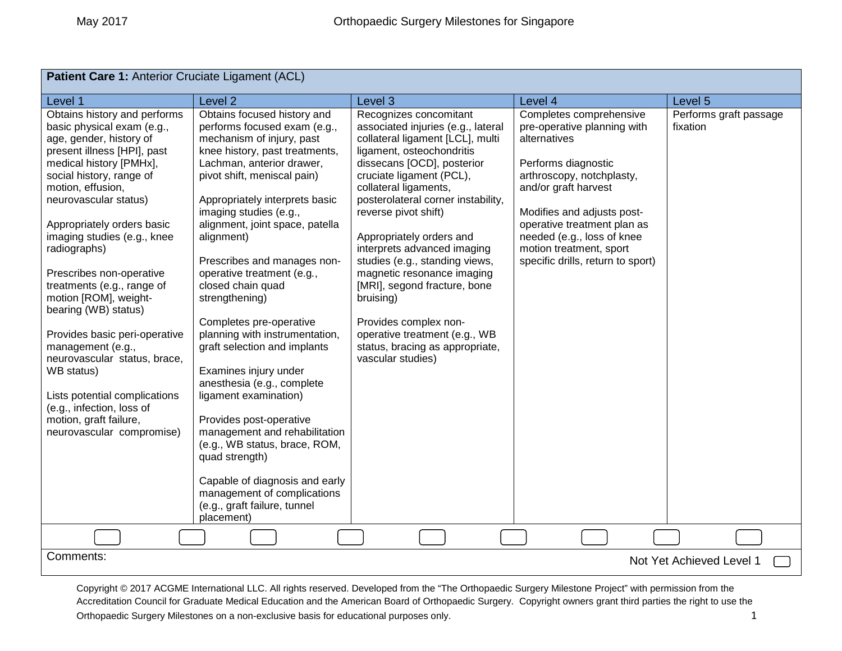| Patient Care 1: Anterior Cruciate Ligament (ACL)                                                                                                                                                                                                                                                                                                                                                                                                                                                                                                                                                                                           |                                                                                                                                                                                                                                                                                                                                                                                                                                                                                                                                                                                                                                                                                                                                                                                                                    |                                                                                                                                                                                                                                                                                                                                                                                                                                                                                                                                                                          |                                                                                                                                                                                                                                                                                                               |                                    |
|--------------------------------------------------------------------------------------------------------------------------------------------------------------------------------------------------------------------------------------------------------------------------------------------------------------------------------------------------------------------------------------------------------------------------------------------------------------------------------------------------------------------------------------------------------------------------------------------------------------------------------------------|--------------------------------------------------------------------------------------------------------------------------------------------------------------------------------------------------------------------------------------------------------------------------------------------------------------------------------------------------------------------------------------------------------------------------------------------------------------------------------------------------------------------------------------------------------------------------------------------------------------------------------------------------------------------------------------------------------------------------------------------------------------------------------------------------------------------|--------------------------------------------------------------------------------------------------------------------------------------------------------------------------------------------------------------------------------------------------------------------------------------------------------------------------------------------------------------------------------------------------------------------------------------------------------------------------------------------------------------------------------------------------------------------------|---------------------------------------------------------------------------------------------------------------------------------------------------------------------------------------------------------------------------------------------------------------------------------------------------------------|------------------------------------|
| Level 1                                                                                                                                                                                                                                                                                                                                                                                                                                                                                                                                                                                                                                    | Level <sub>2</sub>                                                                                                                                                                                                                                                                                                                                                                                                                                                                                                                                                                                                                                                                                                                                                                                                 | Level 3                                                                                                                                                                                                                                                                                                                                                                                                                                                                                                                                                                  | Level 4                                                                                                                                                                                                                                                                                                       | Level 5                            |
| Obtains history and performs<br>basic physical exam (e.g.,<br>age, gender, history of<br>present illness [HPI], past<br>medical history [PMHx],<br>social history, range of<br>motion, effusion,<br>neurovascular status)<br>Appropriately orders basic<br>imaging studies (e.g., knee<br>radiographs)<br>Prescribes non-operative<br>treatments (e.g., range of<br>motion [ROM], weight-<br>bearing (WB) status)<br>Provides basic peri-operative<br>management (e.g.,<br>neurovascular status, brace,<br>WB status)<br>Lists potential complications<br>(e.g., infection, loss of<br>motion, graft failure,<br>neurovascular compromise) | Obtains focused history and<br>performs focused exam (e.g.,<br>mechanism of injury, past<br>knee history, past treatments,<br>Lachman, anterior drawer,<br>pivot shift, meniscal pain)<br>Appropriately interprets basic<br>imaging studies (e.g.,<br>alignment, joint space, patella<br>alignment)<br>Prescribes and manages non-<br>operative treatment (e.g.,<br>closed chain quad<br>strengthening)<br>Completes pre-operative<br>planning with instrumentation,<br>graft selection and implants<br>Examines injury under<br>anesthesia (e.g., complete<br>ligament examination)<br>Provides post-operative<br>management and rehabilitation<br>(e.g., WB status, brace, ROM,<br>quad strength)<br>Capable of diagnosis and early<br>management of complications<br>(e.g., graft failure, tunnel<br>placement) | Recognizes concomitant<br>associated injuries (e.g., lateral<br>collateral ligament [LCL], multi<br>ligament, osteochondritis<br>dissecans [OCD], posterior<br>cruciate ligament (PCL),<br>collateral ligaments,<br>posterolateral corner instability,<br>reverse pivot shift)<br>Appropriately orders and<br>interprets advanced imaging<br>studies (e.g., standing views,<br>magnetic resonance imaging<br>[MRI], segond fracture, bone<br>bruising)<br>Provides complex non-<br>operative treatment (e.g., WB<br>status, bracing as appropriate,<br>vascular studies) | Completes comprehensive<br>pre-operative planning with<br>alternatives<br>Performs diagnostic<br>arthroscopy, notchplasty,<br>and/or graft harvest<br>Modifies and adjusts post-<br>operative treatment plan as<br>needed (e.g., loss of knee<br>motion treatment, sport<br>specific drills, return to sport) | Performs graft passage<br>fixation |
|                                                                                                                                                                                                                                                                                                                                                                                                                                                                                                                                                                                                                                            |                                                                                                                                                                                                                                                                                                                                                                                                                                                                                                                                                                                                                                                                                                                                                                                                                    |                                                                                                                                                                                                                                                                                                                                                                                                                                                                                                                                                                          |                                                                                                                                                                                                                                                                                                               |                                    |
| Comments:                                                                                                                                                                                                                                                                                                                                                                                                                                                                                                                                                                                                                                  |                                                                                                                                                                                                                                                                                                                                                                                                                                                                                                                                                                                                                                                                                                                                                                                                                    |                                                                                                                                                                                                                                                                                                                                                                                                                                                                                                                                                                          |                                                                                                                                                                                                                                                                                                               |                                    |
|                                                                                                                                                                                                                                                                                                                                                                                                                                                                                                                                                                                                                                            |                                                                                                                                                                                                                                                                                                                                                                                                                                                                                                                                                                                                                                                                                                                                                                                                                    |                                                                                                                                                                                                                                                                                                                                                                                                                                                                                                                                                                          |                                                                                                                                                                                                                                                                                                               | Not Yet Achieved Level 1           |

Copyright © 2017 ACGME International LLC. All rights reserved. Developed from the "The Orthopaedic Surgery Milestone Project" with permission from the Accreditation Council for Graduate Medical Education and the American Board of Orthopaedic Surgery. Copyright owners grant third parties the right to use the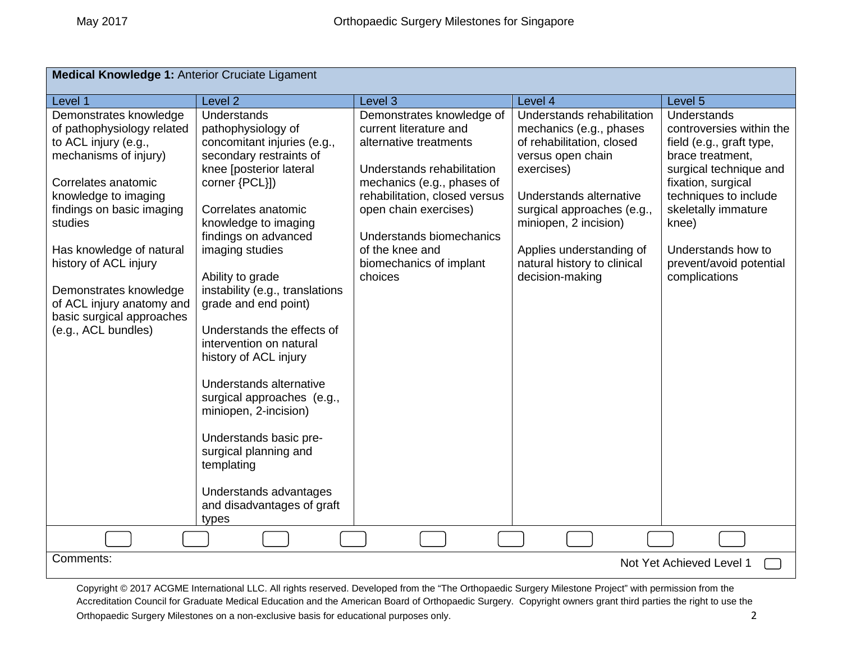| Medical Knowledge 1: Anterior Cruciate Ligament                                                                                                                                                                                                                                                                                                              |                                                                                                                                                                                                                                                                                                                                                                                                                                                                                                                                                                                                                |                                                                                                                                                                                                                                                                                          |                                                                                                                                                                                                                                                                                       |                                                                                                                                                                                                                                                                    |
|--------------------------------------------------------------------------------------------------------------------------------------------------------------------------------------------------------------------------------------------------------------------------------------------------------------------------------------------------------------|----------------------------------------------------------------------------------------------------------------------------------------------------------------------------------------------------------------------------------------------------------------------------------------------------------------------------------------------------------------------------------------------------------------------------------------------------------------------------------------------------------------------------------------------------------------------------------------------------------------|------------------------------------------------------------------------------------------------------------------------------------------------------------------------------------------------------------------------------------------------------------------------------------------|---------------------------------------------------------------------------------------------------------------------------------------------------------------------------------------------------------------------------------------------------------------------------------------|--------------------------------------------------------------------------------------------------------------------------------------------------------------------------------------------------------------------------------------------------------------------|
| Level 1                                                                                                                                                                                                                                                                                                                                                      | Level <sub>2</sub>                                                                                                                                                                                                                                                                                                                                                                                                                                                                                                                                                                                             | Level <sub>3</sub>                                                                                                                                                                                                                                                                       | Level 4                                                                                                                                                                                                                                                                               | Level 5                                                                                                                                                                                                                                                            |
| Demonstrates knowledge<br>of pathophysiology related<br>to ACL injury (e.g.,<br>mechanisms of injury)<br>Correlates anatomic<br>knowledge to imaging<br>findings on basic imaging<br>studies<br>Has knowledge of natural<br>history of ACL injury<br>Demonstrates knowledge<br>of ACL injury anatomy and<br>basic surgical approaches<br>(e.g., ACL bundles) | Understands<br>pathophysiology of<br>concomitant injuries (e.g.,<br>secondary restraints of<br>knee [posterior lateral<br>corner {PCL}])<br>Correlates anatomic<br>knowledge to imaging<br>findings on advanced<br>imaging studies<br>Ability to grade<br>instability (e.g., translations<br>grade and end point)<br>Understands the effects of<br>intervention on natural<br>history of ACL injury<br>Understands alternative<br>surgical approaches (e.g.,<br>miniopen, 2-incision)<br>Understands basic pre-<br>surgical planning and<br>templating<br>Understands advantages<br>and disadvantages of graft | Demonstrates knowledge of<br>current literature and<br>alternative treatments<br>Understands rehabilitation<br>mechanics (e.g., phases of<br>rehabilitation, closed versus<br>open chain exercises)<br>Understands biomechanics<br>of the knee and<br>biomechanics of implant<br>choices | Understands rehabilitation<br>mechanics (e.g., phases<br>of rehabilitation, closed<br>versus open chain<br>exercises)<br>Understands alternative<br>surgical approaches (e.g.,<br>miniopen, 2 incision)<br>Applies understanding of<br>natural history to clinical<br>decision-making | Understands<br>controversies within the<br>field (e.g., graft type,<br>brace treatment,<br>surgical technique and<br>fixation, surgical<br>techniques to include<br>skeletally immature<br>knee)<br>Understands how to<br>prevent/avoid potential<br>complications |
|                                                                                                                                                                                                                                                                                                                                                              | types                                                                                                                                                                                                                                                                                                                                                                                                                                                                                                                                                                                                          |                                                                                                                                                                                                                                                                                          |                                                                                                                                                                                                                                                                                       |                                                                                                                                                                                                                                                                    |
|                                                                                                                                                                                                                                                                                                                                                              |                                                                                                                                                                                                                                                                                                                                                                                                                                                                                                                                                                                                                |                                                                                                                                                                                                                                                                                          |                                                                                                                                                                                                                                                                                       |                                                                                                                                                                                                                                                                    |
| Comments:                                                                                                                                                                                                                                                                                                                                                    |                                                                                                                                                                                                                                                                                                                                                                                                                                                                                                                                                                                                                |                                                                                                                                                                                                                                                                                          |                                                                                                                                                                                                                                                                                       | Not Yet Achieved Level 1                                                                                                                                                                                                                                           |

Copyright © 2017 ACGME International LLC. All rights reserved. Developed from the "The Orthopaedic Surgery Milestone Project" with permission from the Accreditation Council for Graduate Medical Education and the American Board of Orthopaedic Surgery. Copyright owners grant third parties the right to use the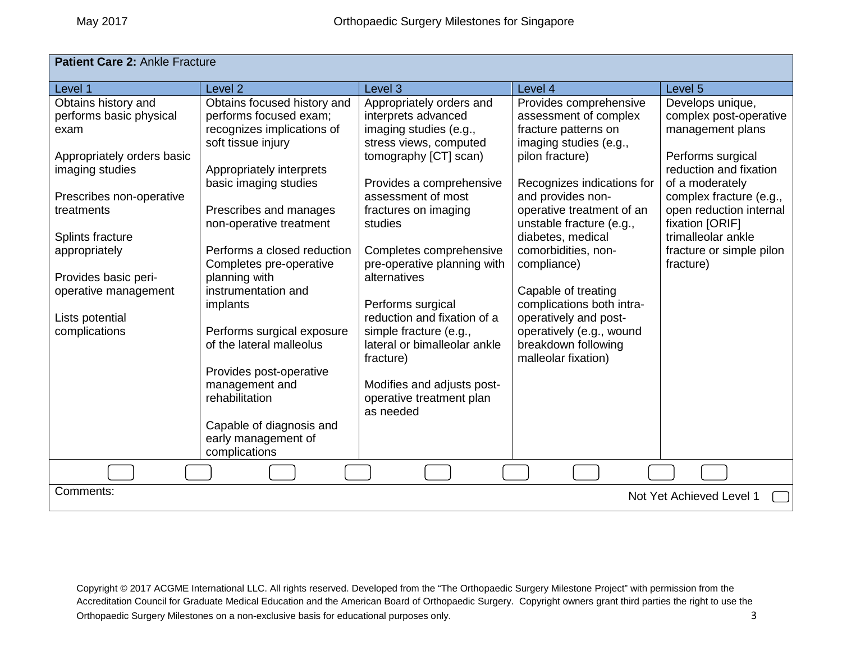| Patient Care 2: Ankle Fracture                                                                                                                                                                                                                                             |                                                                                                                                                                                                                                                                                                                                                                                                                                                                                                               |                                                                                                                                                                                                                                                                                                                                                                                                                                                                                               |                                                                                                                                                                                                                                                                                                                                                                                                                                                    |                                                                                                                                                                                                                                                                          |
|----------------------------------------------------------------------------------------------------------------------------------------------------------------------------------------------------------------------------------------------------------------------------|---------------------------------------------------------------------------------------------------------------------------------------------------------------------------------------------------------------------------------------------------------------------------------------------------------------------------------------------------------------------------------------------------------------------------------------------------------------------------------------------------------------|-----------------------------------------------------------------------------------------------------------------------------------------------------------------------------------------------------------------------------------------------------------------------------------------------------------------------------------------------------------------------------------------------------------------------------------------------------------------------------------------------|----------------------------------------------------------------------------------------------------------------------------------------------------------------------------------------------------------------------------------------------------------------------------------------------------------------------------------------------------------------------------------------------------------------------------------------------------|--------------------------------------------------------------------------------------------------------------------------------------------------------------------------------------------------------------------------------------------------------------------------|
| Level 1                                                                                                                                                                                                                                                                    | Level <sub>2</sub>                                                                                                                                                                                                                                                                                                                                                                                                                                                                                            | Level <sub>3</sub>                                                                                                                                                                                                                                                                                                                                                                                                                                                                            | Level 4                                                                                                                                                                                                                                                                                                                                                                                                                                            | Level <sub>5</sub>                                                                                                                                                                                                                                                       |
| Obtains history and<br>performs basic physical<br>exam<br>Appropriately orders basic<br>imaging studies<br>Prescribes non-operative<br>treatments<br>Splints fracture<br>appropriately<br>Provides basic peri-<br>operative management<br>Lists potential<br>complications | Obtains focused history and<br>performs focused exam;<br>recognizes implications of<br>soft tissue injury<br>Appropriately interprets<br>basic imaging studies<br>Prescribes and manages<br>non-operative treatment<br>Performs a closed reduction<br>Completes pre-operative<br>planning with<br>instrumentation and<br>implants<br>Performs surgical exposure<br>of the lateral malleolus<br>Provides post-operative<br>management and<br>rehabilitation<br>Capable of diagnosis and<br>early management of | Appropriately orders and<br>interprets advanced<br>imaging studies (e.g.,<br>stress views, computed<br>tomography [CT] scan)<br>Provides a comprehensive<br>assessment of most<br>fractures on imaging<br>studies<br>Completes comprehensive<br>pre-operative planning with<br>alternatives<br>Performs surgical<br>reduction and fixation of a<br>simple fracture (e.g.,<br>lateral or bimalleolar ankle<br>fracture)<br>Modifies and adjusts post-<br>operative treatment plan<br>as needed | Provides comprehensive<br>assessment of complex<br>fracture patterns on<br>imaging studies (e.g.,<br>pilon fracture)<br>Recognizes indications for<br>and provides non-<br>operative treatment of an<br>unstable fracture (e.g.,<br>diabetes, medical<br>comorbidities, non-<br>compliance)<br>Capable of treating<br>complications both intra-<br>operatively and post-<br>operatively (e.g., wound<br>breakdown following<br>malleolar fixation) | Develops unique,<br>complex post-operative<br>management plans<br>Performs surgical<br>reduction and fixation<br>of a moderately<br>complex fracture (e.g.,<br>open reduction internal<br>fixation [ORIF]<br>trimalleolar ankle<br>fracture or simple pilon<br>fracture) |
|                                                                                                                                                                                                                                                                            | complications                                                                                                                                                                                                                                                                                                                                                                                                                                                                                                 |                                                                                                                                                                                                                                                                                                                                                                                                                                                                                               |                                                                                                                                                                                                                                                                                                                                                                                                                                                    |                                                                                                                                                                                                                                                                          |
|                                                                                                                                                                                                                                                                            |                                                                                                                                                                                                                                                                                                                                                                                                                                                                                                               |                                                                                                                                                                                                                                                                                                                                                                                                                                                                                               |                                                                                                                                                                                                                                                                                                                                                                                                                                                    |                                                                                                                                                                                                                                                                          |
| Comments:                                                                                                                                                                                                                                                                  |                                                                                                                                                                                                                                                                                                                                                                                                                                                                                                               |                                                                                                                                                                                                                                                                                                                                                                                                                                                                                               |                                                                                                                                                                                                                                                                                                                                                                                                                                                    | Not Yet Achieved Level 1                                                                                                                                                                                                                                                 |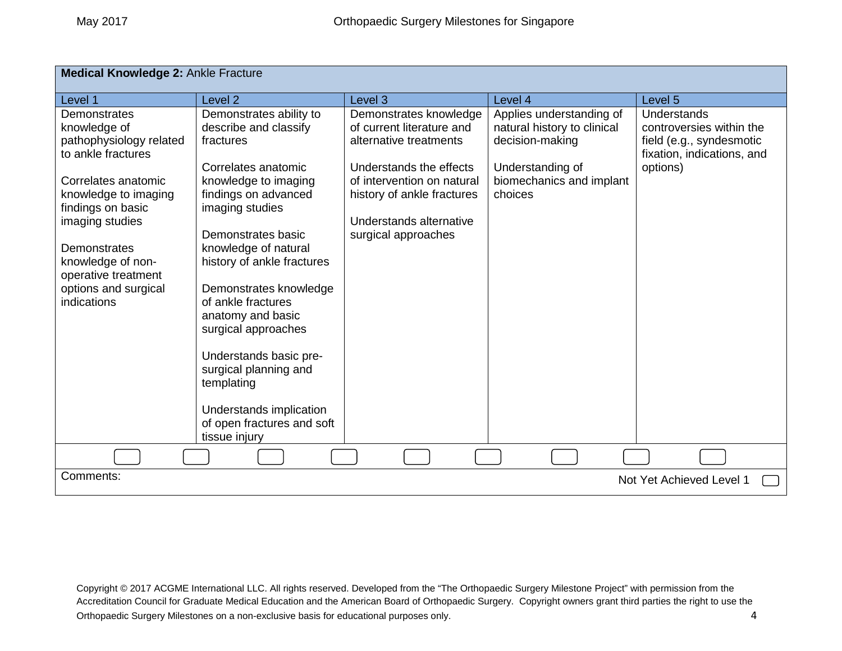| <b>Medical Knowledge 2: Ankle Fracture</b>                                                                                                                                                                                                                              |                                                                                                                                                                                                                                                                                                                                                                                                                                                                            |                                                                                                                                                                                                                        |                                                                                                                                       |                                                                                                               |
|-------------------------------------------------------------------------------------------------------------------------------------------------------------------------------------------------------------------------------------------------------------------------|----------------------------------------------------------------------------------------------------------------------------------------------------------------------------------------------------------------------------------------------------------------------------------------------------------------------------------------------------------------------------------------------------------------------------------------------------------------------------|------------------------------------------------------------------------------------------------------------------------------------------------------------------------------------------------------------------------|---------------------------------------------------------------------------------------------------------------------------------------|---------------------------------------------------------------------------------------------------------------|
| Level 1                                                                                                                                                                                                                                                                 | Level <sub>2</sub>                                                                                                                                                                                                                                                                                                                                                                                                                                                         | Level 3                                                                                                                                                                                                                | Level 4                                                                                                                               | Level 5                                                                                                       |
| Demonstrates<br>knowledge of<br>pathophysiology related<br>to ankle fractures<br>Correlates anatomic<br>knowledge to imaging<br>findings on basic<br>imaging studies<br>Demonstrates<br>knowledge of non-<br>operative treatment<br>options and surgical<br>indications | Demonstrates ability to<br>describe and classify<br>fractures<br>Correlates anatomic<br>knowledge to imaging<br>findings on advanced<br>imaging studies<br>Demonstrates basic<br>knowledge of natural<br>history of ankle fractures<br>Demonstrates knowledge<br>of ankle fractures<br>anatomy and basic<br>surgical approaches<br>Understands basic pre-<br>surgical planning and<br>templating<br>Understands implication<br>of open fractures and soft<br>tissue injury | Demonstrates knowledge<br>of current literature and<br>alternative treatments<br>Understands the effects<br>of intervention on natural<br>history of ankle fractures<br>Understands alternative<br>surgical approaches | Applies understanding of<br>natural history to clinical<br>decision-making<br>Understanding of<br>biomechanics and implant<br>choices | Understands<br>controversies within the<br>field (e.g., syndesmotic<br>fixation, indications, and<br>options) |
|                                                                                                                                                                                                                                                                         |                                                                                                                                                                                                                                                                                                                                                                                                                                                                            |                                                                                                                                                                                                                        |                                                                                                                                       |                                                                                                               |
| Comments:                                                                                                                                                                                                                                                               |                                                                                                                                                                                                                                                                                                                                                                                                                                                                            |                                                                                                                                                                                                                        |                                                                                                                                       | Not Yet Achieved Level 1                                                                                      |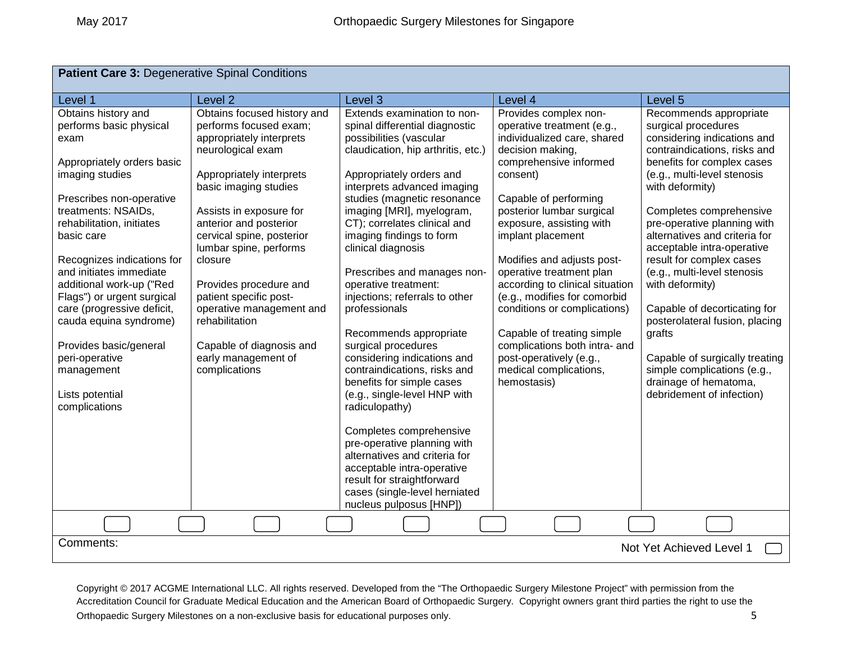| <b>Patient Care 3: Degenerative Spinal Conditions</b>                                                                                                                                                                                                                                                                                                                                                                                                                          |                                                                                                                                                                                                                                                                                                                                                                                                                                                          |                                                                                                                                                                                                                                                                                                                                                                                                                                                                                                                                                                                                                                                                                                                                                                                                                                                                     |                                                                                                                                                                                                                                                                                                                                                                                                                                                                                                                                                     |                                                                                                                                                                                                                                                                                                                                                                                                                                                                                                                                                                                                        |
|--------------------------------------------------------------------------------------------------------------------------------------------------------------------------------------------------------------------------------------------------------------------------------------------------------------------------------------------------------------------------------------------------------------------------------------------------------------------------------|----------------------------------------------------------------------------------------------------------------------------------------------------------------------------------------------------------------------------------------------------------------------------------------------------------------------------------------------------------------------------------------------------------------------------------------------------------|---------------------------------------------------------------------------------------------------------------------------------------------------------------------------------------------------------------------------------------------------------------------------------------------------------------------------------------------------------------------------------------------------------------------------------------------------------------------------------------------------------------------------------------------------------------------------------------------------------------------------------------------------------------------------------------------------------------------------------------------------------------------------------------------------------------------------------------------------------------------|-----------------------------------------------------------------------------------------------------------------------------------------------------------------------------------------------------------------------------------------------------------------------------------------------------------------------------------------------------------------------------------------------------------------------------------------------------------------------------------------------------------------------------------------------------|--------------------------------------------------------------------------------------------------------------------------------------------------------------------------------------------------------------------------------------------------------------------------------------------------------------------------------------------------------------------------------------------------------------------------------------------------------------------------------------------------------------------------------------------------------------------------------------------------------|
| Level 1                                                                                                                                                                                                                                                                                                                                                                                                                                                                        | Level <sub>2</sub>                                                                                                                                                                                                                                                                                                                                                                                                                                       | Level 3                                                                                                                                                                                                                                                                                                                                                                                                                                                                                                                                                                                                                                                                                                                                                                                                                                                             | Level 4                                                                                                                                                                                                                                                                                                                                                                                                                                                                                                                                             | Level 5                                                                                                                                                                                                                                                                                                                                                                                                                                                                                                                                                                                                |
| Obtains history and<br>performs basic physical<br>exam<br>Appropriately orders basic<br>imaging studies<br>Prescribes non-operative<br>treatments: NSAIDs,<br>rehabilitation, initiates<br>basic care<br>Recognizes indications for<br>and initiates immediate<br>additional work-up ("Red<br>Flags") or urgent surgical<br>care (progressive deficit,<br>cauda equina syndrome)<br>Provides basic/general<br>peri-operative<br>management<br>Lists potential<br>complications | Obtains focused history and<br>performs focused exam;<br>appropriately interprets<br>neurological exam<br>Appropriately interprets<br>basic imaging studies<br>Assists in exposure for<br>anterior and posterior<br>cervical spine, posterior<br>lumbar spine, performs<br>closure<br>Provides procedure and<br>patient specific post-<br>operative management and<br>rehabilitation<br>Capable of diagnosis and<br>early management of<br>complications | Extends examination to non-<br>spinal differential diagnostic<br>possibilities (vascular<br>claudication, hip arthritis, etc.)<br>Appropriately orders and<br>interprets advanced imaging<br>studies (magnetic resonance<br>imaging [MRI], myelogram,<br>CT); correlates clinical and<br>imaging findings to form<br>clinical diagnosis<br>Prescribes and manages non-<br>operative treatment:<br>injections; referrals to other<br>professionals<br>Recommends appropriate<br>surgical procedures<br>considering indications and<br>contraindications, risks and<br>benefits for simple cases<br>(e.g., single-level HNP with<br>radiculopathy)<br>Completes comprehensive<br>pre-operative planning with<br>alternatives and criteria for<br>acceptable intra-operative<br>result for straightforward<br>cases (single-level herniated<br>nucleus pulposus [HNP]) | Provides complex non-<br>operative treatment (e.g.,<br>individualized care, shared<br>decision making,<br>comprehensive informed<br>consent)<br>Capable of performing<br>posterior lumbar surgical<br>exposure, assisting with<br>implant placement<br>Modifies and adjusts post-<br>operative treatment plan<br>according to clinical situation<br>(e.g., modifies for comorbid<br>conditions or complications)<br>Capable of treating simple<br>complications both intra- and<br>post-operatively (e.g.,<br>medical complications,<br>hemostasis) | Recommends appropriate<br>surgical procedures<br>considering indications and<br>contraindications, risks and<br>benefits for complex cases<br>(e.g., multi-level stenosis<br>with deformity)<br>Completes comprehensive<br>pre-operative planning with<br>alternatives and criteria for<br>acceptable intra-operative<br>result for complex cases<br>(e.g., multi-level stenosis<br>with deformity)<br>Capable of decorticating for<br>posterolateral fusion, placing<br>grafts<br>Capable of surgically treating<br>simple complications (e.g.,<br>drainage of hematoma,<br>debridement of infection) |
|                                                                                                                                                                                                                                                                                                                                                                                                                                                                                |                                                                                                                                                                                                                                                                                                                                                                                                                                                          |                                                                                                                                                                                                                                                                                                                                                                                                                                                                                                                                                                                                                                                                                                                                                                                                                                                                     |                                                                                                                                                                                                                                                                                                                                                                                                                                                                                                                                                     |                                                                                                                                                                                                                                                                                                                                                                                                                                                                                                                                                                                                        |
| Comments:                                                                                                                                                                                                                                                                                                                                                                                                                                                                      |                                                                                                                                                                                                                                                                                                                                                                                                                                                          |                                                                                                                                                                                                                                                                                                                                                                                                                                                                                                                                                                                                                                                                                                                                                                                                                                                                     |                                                                                                                                                                                                                                                                                                                                                                                                                                                                                                                                                     | Not Yet Achieved Level 1                                                                                                                                                                                                                                                                                                                                                                                                                                                                                                                                                                               |

Copyright © 2017 ACGME International LLC. All rights reserved. Developed from the "The Orthopaedic Surgery Milestone Project" with permission from the Accreditation Council for Graduate Medical Education and the American Board of Orthopaedic Surgery. Copyright owners grant third parties the right to use the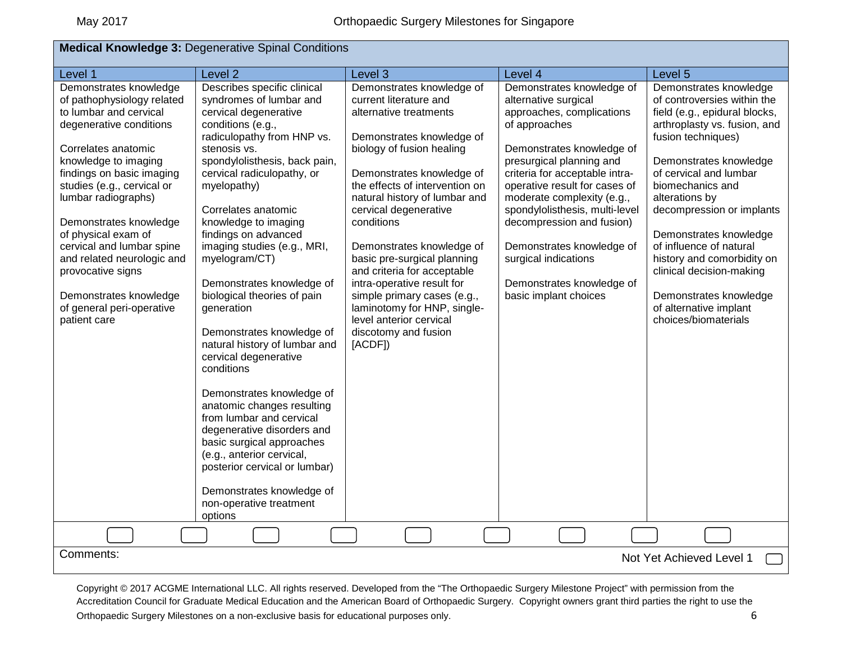## **Medical Knowledge 3:** Degenerative Spinal Conditions

| Level 1                                                                                                                                                                                                                                                                                                                                                                                                                                            | Level <sub>2</sub>                                                                                                                                                                                                                                                                                                                                                                                                                                                                                                                                                                                                                                                                                                                                                                                             | Level <sub>3</sub>                                                                                                                                                                                                                                                                                                                                                                                                                                                                                                                  | Level 4                                                                                                                                                                                                                                                                                                                                                                                                                             | Level <sub>5</sub>                                                                                                                                                                                                                                                                                                                                                                                                                                             |
|----------------------------------------------------------------------------------------------------------------------------------------------------------------------------------------------------------------------------------------------------------------------------------------------------------------------------------------------------------------------------------------------------------------------------------------------------|----------------------------------------------------------------------------------------------------------------------------------------------------------------------------------------------------------------------------------------------------------------------------------------------------------------------------------------------------------------------------------------------------------------------------------------------------------------------------------------------------------------------------------------------------------------------------------------------------------------------------------------------------------------------------------------------------------------------------------------------------------------------------------------------------------------|-------------------------------------------------------------------------------------------------------------------------------------------------------------------------------------------------------------------------------------------------------------------------------------------------------------------------------------------------------------------------------------------------------------------------------------------------------------------------------------------------------------------------------------|-------------------------------------------------------------------------------------------------------------------------------------------------------------------------------------------------------------------------------------------------------------------------------------------------------------------------------------------------------------------------------------------------------------------------------------|----------------------------------------------------------------------------------------------------------------------------------------------------------------------------------------------------------------------------------------------------------------------------------------------------------------------------------------------------------------------------------------------------------------------------------------------------------------|
| Demonstrates knowledge<br>of pathophysiology related<br>to lumbar and cervical<br>degenerative conditions<br>Correlates anatomic<br>knowledge to imaging<br>findings on basic imaging<br>studies (e.g., cervical or<br>lumbar radiographs)<br>Demonstrates knowledge<br>of physical exam of<br>cervical and lumbar spine<br>and related neurologic and<br>provocative signs<br>Demonstrates knowledge<br>of general peri-operative<br>patient care | Describes specific clinical<br>syndromes of lumbar and<br>cervical degenerative<br>conditions (e.g.,<br>radiculopathy from HNP vs.<br>stenosis vs.<br>spondylolisthesis, back pain,<br>cervical radiculopathy, or<br>myelopathy)<br>Correlates anatomic<br>knowledge to imaging<br>findings on advanced<br>imaging studies (e.g., MRI,<br>myelogram/CT)<br>Demonstrates knowledge of<br>biological theories of pain<br>generation<br>Demonstrates knowledge of<br>natural history of lumbar and<br>cervical degenerative<br>conditions<br>Demonstrates knowledge of<br>anatomic changes resulting<br>from lumbar and cervical<br>degenerative disorders and<br>basic surgical approaches<br>(e.g., anterior cervical,<br>posterior cervical or lumbar)<br>Demonstrates knowledge of<br>non-operative treatment | Demonstrates knowledge of<br>current literature and<br>alternative treatments<br>Demonstrates knowledge of<br>biology of fusion healing<br>Demonstrates knowledge of<br>the effects of intervention on<br>natural history of lumbar and<br>cervical degenerative<br>conditions<br>Demonstrates knowledge of<br>basic pre-surgical planning<br>and criteria for acceptable<br>intra-operative result for<br>simple primary cases (e.g.,<br>laminotomy for HNP, single-<br>level anterior cervical<br>discotomy and fusion<br>[ACDF]) | Demonstrates knowledge of<br>alternative surgical<br>approaches, complications<br>of approaches<br>Demonstrates knowledge of<br>presurgical planning and<br>criteria for acceptable intra-<br>operative result for cases of<br>moderate complexity (e.g.,<br>spondylolisthesis, multi-level<br>decompression and fusion)<br>Demonstrates knowledge of<br>surgical indications<br>Demonstrates knowledge of<br>basic implant choices | Demonstrates knowledge<br>of controversies within the<br>field (e.g., epidural blocks,<br>arthroplasty vs. fusion, and<br>fusion techniques)<br>Demonstrates knowledge<br>of cervical and lumbar<br>biomechanics and<br>alterations by<br>decompression or implants<br>Demonstrates knowledge<br>of influence of natural<br>history and comorbidity on<br>clinical decision-making<br>Demonstrates knowledge<br>of alternative implant<br>choices/biomaterials |
|                                                                                                                                                                                                                                                                                                                                                                                                                                                    | options                                                                                                                                                                                                                                                                                                                                                                                                                                                                                                                                                                                                                                                                                                                                                                                                        |                                                                                                                                                                                                                                                                                                                                                                                                                                                                                                                                     |                                                                                                                                                                                                                                                                                                                                                                                                                                     |                                                                                                                                                                                                                                                                                                                                                                                                                                                                |
|                                                                                                                                                                                                                                                                                                                                                                                                                                                    |                                                                                                                                                                                                                                                                                                                                                                                                                                                                                                                                                                                                                                                                                                                                                                                                                |                                                                                                                                                                                                                                                                                                                                                                                                                                                                                                                                     |                                                                                                                                                                                                                                                                                                                                                                                                                                     |                                                                                                                                                                                                                                                                                                                                                                                                                                                                |
| Comments:                                                                                                                                                                                                                                                                                                                                                                                                                                          |                                                                                                                                                                                                                                                                                                                                                                                                                                                                                                                                                                                                                                                                                                                                                                                                                |                                                                                                                                                                                                                                                                                                                                                                                                                                                                                                                                     |                                                                                                                                                                                                                                                                                                                                                                                                                                     | Not Yet Achieved Level 1                                                                                                                                                                                                                                                                                                                                                                                                                                       |

Copyright © 2017 ACGME International LLC. All rights reserved. Developed from the "The Orthopaedic Surgery Milestone Project" with permission from the Accreditation Council for Graduate Medical Education and the American Board of Orthopaedic Surgery. Copyright owners grant third parties the right to use the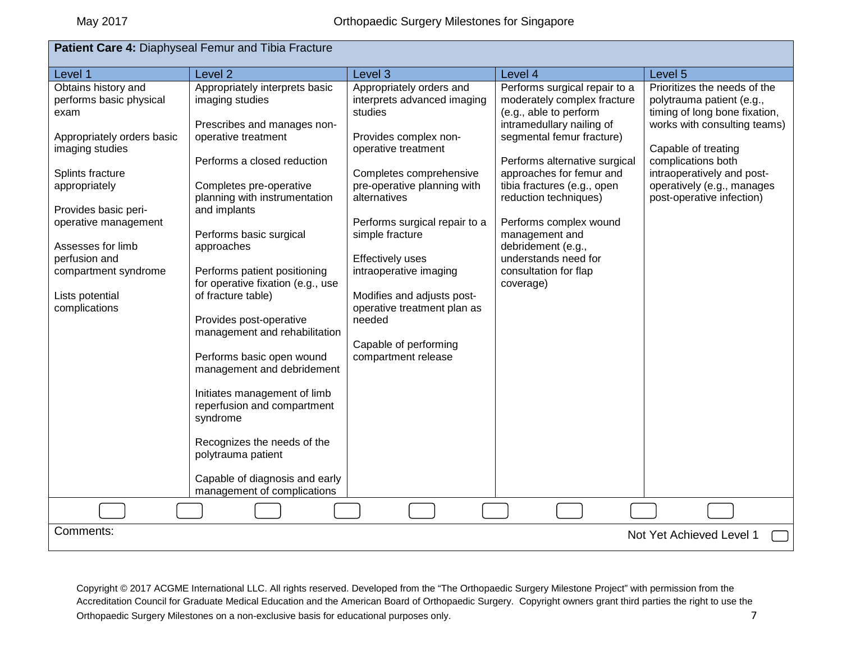| Patient Care 4: Diaphyseal Femur and Tibia Fracture                                                                                                                                                                                                                                            |                                                                                                                                                                                                                                                                                                                                                                                                                                                                                                                                                                                                                                                                                |                                                                                                                                                                                                                                                                                                                                                                                                                              |                                                                                                                                                                                                                                                                                                                                                                                                       |                                                                                                                                                                                                                                                                  |  |
|------------------------------------------------------------------------------------------------------------------------------------------------------------------------------------------------------------------------------------------------------------------------------------------------|--------------------------------------------------------------------------------------------------------------------------------------------------------------------------------------------------------------------------------------------------------------------------------------------------------------------------------------------------------------------------------------------------------------------------------------------------------------------------------------------------------------------------------------------------------------------------------------------------------------------------------------------------------------------------------|------------------------------------------------------------------------------------------------------------------------------------------------------------------------------------------------------------------------------------------------------------------------------------------------------------------------------------------------------------------------------------------------------------------------------|-------------------------------------------------------------------------------------------------------------------------------------------------------------------------------------------------------------------------------------------------------------------------------------------------------------------------------------------------------------------------------------------------------|------------------------------------------------------------------------------------------------------------------------------------------------------------------------------------------------------------------------------------------------------------------|--|
| Level 1                                                                                                                                                                                                                                                                                        | Level <sub>2</sub>                                                                                                                                                                                                                                                                                                                                                                                                                                                                                                                                                                                                                                                             | Level <sub>3</sub>                                                                                                                                                                                                                                                                                                                                                                                                           | Level 4                                                                                                                                                                                                                                                                                                                                                                                               | Level 5                                                                                                                                                                                                                                                          |  |
| Obtains history and<br>performs basic physical<br>exam<br>Appropriately orders basic<br>imaging studies<br>Splints fracture<br>appropriately<br>Provides basic peri-<br>operative management<br>Assesses for limb<br>perfusion and<br>compartment syndrome<br>Lists potential<br>complications | Appropriately interprets basic<br>imaging studies<br>Prescribes and manages non-<br>operative treatment<br>Performs a closed reduction<br>Completes pre-operative<br>planning with instrumentation<br>and implants<br>Performs basic surgical<br>approaches<br>Performs patient positioning<br>for operative fixation (e.g., use<br>of fracture table)<br>Provides post-operative<br>management and rehabilitation<br>Performs basic open wound<br>management and debridement<br>Initiates management of limb<br>reperfusion and compartment<br>syndrome<br>Recognizes the needs of the<br>polytrauma patient<br>Capable of diagnosis and early<br>management of complications | Appropriately orders and<br>interprets advanced imaging<br>studies<br>Provides complex non-<br>operative treatment<br>Completes comprehensive<br>pre-operative planning with<br>alternatives<br>Performs surgical repair to a<br>simple fracture<br><b>Effectively uses</b><br>intraoperative imaging<br>Modifies and adjusts post-<br>operative treatment plan as<br>needed<br>Capable of performing<br>compartment release | Performs surgical repair to a<br>moderately complex fracture<br>(e.g., able to perform<br>intramedullary nailing of<br>segmental femur fracture)<br>Performs alternative surgical<br>approaches for femur and<br>tibia fractures (e.g., open<br>reduction techniques)<br>Performs complex wound<br>management and<br>debridement (e.g.,<br>understands need for<br>consultation for flap<br>coverage) | Prioritizes the needs of the<br>polytrauma patient (e.g.,<br>timing of long bone fixation,<br>works with consulting teams)<br>Capable of treating<br>complications both<br>intraoperatively and post-<br>operatively (e.g., manages<br>post-operative infection) |  |
|                                                                                                                                                                                                                                                                                                |                                                                                                                                                                                                                                                                                                                                                                                                                                                                                                                                                                                                                                                                                |                                                                                                                                                                                                                                                                                                                                                                                                                              |                                                                                                                                                                                                                                                                                                                                                                                                       |                                                                                                                                                                                                                                                                  |  |
| Comments:                                                                                                                                                                                                                                                                                      | Not Yet Achieved Level 1                                                                                                                                                                                                                                                                                                                                                                                                                                                                                                                                                                                                                                                       |                                                                                                                                                                                                                                                                                                                                                                                                                              |                                                                                                                                                                                                                                                                                                                                                                                                       |                                                                                                                                                                                                                                                                  |  |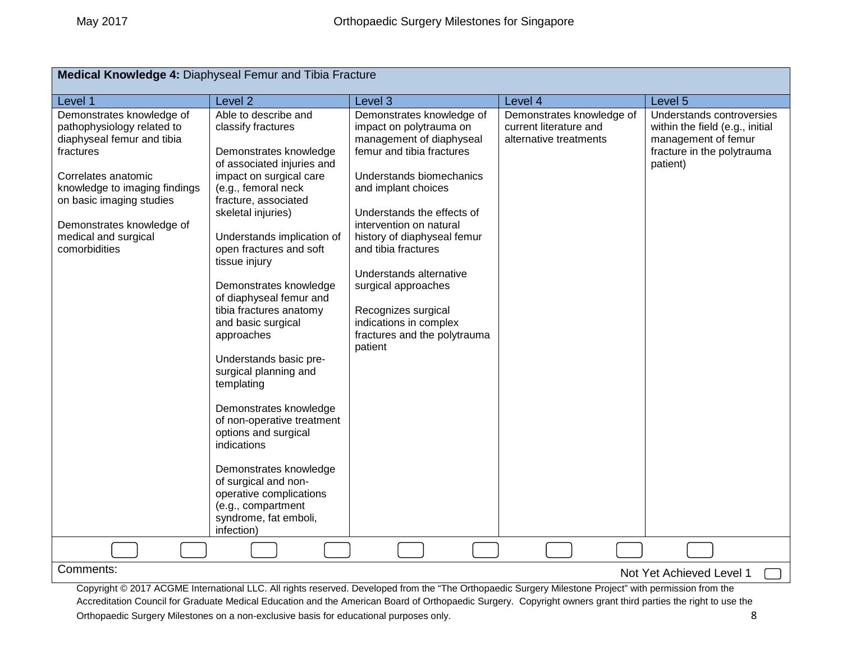| Medical Knowledge 4: Diaphyseal Femur and Tibia Fracture                                                                                                                                                                                                     |                                                                                                                                                                                                                                                                                                                                                                                                                                                                                                                                                                                                                                                                                                            |                                                                                                                                                                                                                                                                                                                                                                                                                               |                                                                               |                                                                                                                               |
|--------------------------------------------------------------------------------------------------------------------------------------------------------------------------------------------------------------------------------------------------------------|------------------------------------------------------------------------------------------------------------------------------------------------------------------------------------------------------------------------------------------------------------------------------------------------------------------------------------------------------------------------------------------------------------------------------------------------------------------------------------------------------------------------------------------------------------------------------------------------------------------------------------------------------------------------------------------------------------|-------------------------------------------------------------------------------------------------------------------------------------------------------------------------------------------------------------------------------------------------------------------------------------------------------------------------------------------------------------------------------------------------------------------------------|-------------------------------------------------------------------------------|-------------------------------------------------------------------------------------------------------------------------------|
| Level 1                                                                                                                                                                                                                                                      | Level <sub>2</sub>                                                                                                                                                                                                                                                                                                                                                                                                                                                                                                                                                                                                                                                                                         | Level 3                                                                                                                                                                                                                                                                                                                                                                                                                       | Level 4                                                                       | Level 5                                                                                                                       |
| Demonstrates knowledge of<br>pathophysiology related to<br>diaphyseal femur and tibia<br>fractures<br>Correlates anatomic<br>knowledge to imaging findings<br>on basic imaging studies<br>Demonstrates knowledge of<br>medical and surgical<br>comorbidities | Able to describe and<br>classify fractures<br>Demonstrates knowledge<br>of associated injuries and<br>impact on surgical care<br>(e.g., femoral neck<br>fracture, associated<br>skeletal injuries)<br>Understands implication of<br>open fractures and soft<br>tissue injury<br>Demonstrates knowledge<br>of diaphyseal femur and<br>tibia fractures anatomy<br>and basic surgical<br>approaches<br>Understands basic pre-<br>surgical planning and<br>templating<br>Demonstrates knowledge<br>of non-operative treatment<br>options and surgical<br>indications<br>Demonstrates knowledge<br>of surgical and non-<br>operative complications<br>(e.g., compartment<br>syndrome, fat emboli,<br>infection) | Demonstrates knowledge of<br>impact on polytrauma on<br>management of diaphyseal<br>femur and tibia fractures<br>Understands biomechanics<br>and implant choices<br>Understands the effects of<br>intervention on natural<br>history of diaphyseal femur<br>and tibia fractures<br>Understands alternative<br>surgical approaches<br>Recognizes surgical<br>indications in complex<br>fractures and the polytrauma<br>patient | Demonstrates knowledge of<br>current literature and<br>alternative treatments | Understands controversies<br>within the field (e.g., initial<br>management of femur<br>fracture in the polytrauma<br>patient) |
|                                                                                                                                                                                                                                                              |                                                                                                                                                                                                                                                                                                                                                                                                                                                                                                                                                                                                                                                                                                            |                                                                                                                                                                                                                                                                                                                                                                                                                               |                                                                               |                                                                                                                               |
| Comments:                                                                                                                                                                                                                                                    |                                                                                                                                                                                                                                                                                                                                                                                                                                                                                                                                                                                                                                                                                                            |                                                                                                                                                                                                                                                                                                                                                                                                                               |                                                                               | Not Yet Achieved Level 1                                                                                                      |
|                                                                                                                                                                                                                                                              |                                                                                                                                                                                                                                                                                                                                                                                                                                                                                                                                                                                                                                                                                                            |                                                                                                                                                                                                                                                                                                                                                                                                                               |                                                                               |                                                                                                                               |

Copyright © 2017 ACGME International LLC. All rights reserved. Developed from the "The Orthopaedic Surgery Milestone Project" with permission from the Accreditation Council for Graduate Medical Education and the American Board of Orthopaedic Surgery. Copyright owners grant third parties the right to use the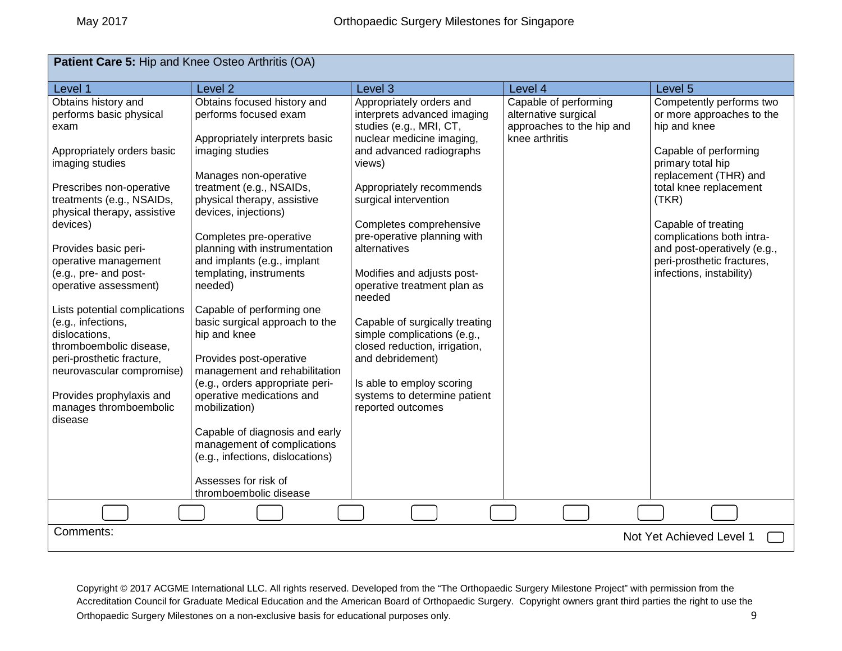| Patient Care 5: Hip and Knee Osteo Arthritis (OA)                                                |                                                                                                   |                                                                                                                 |                                                                                              |                                                                                        |
|--------------------------------------------------------------------------------------------------|---------------------------------------------------------------------------------------------------|-----------------------------------------------------------------------------------------------------------------|----------------------------------------------------------------------------------------------|----------------------------------------------------------------------------------------|
| Level 1                                                                                          | Level <sub>2</sub>                                                                                | Level <sub>3</sub>                                                                                              | Level 4                                                                                      | Level 5                                                                                |
| Obtains history and<br>performs basic physical<br>exam                                           | Obtains focused history and<br>performs focused exam<br>Appropriately interprets basic            | Appropriately orders and<br>interprets advanced imaging<br>studies (e.g., MRI, CT,<br>nuclear medicine imaging, | Capable of performing<br>alternative surgical<br>approaches to the hip and<br>knee arthritis | Competently performs two<br>or more approaches to the<br>hip and knee                  |
| Appropriately orders basic<br>imaging studies                                                    | imaging studies<br>Manages non-operative                                                          | and advanced radiographs<br>views)                                                                              |                                                                                              | Capable of performing<br>primary total hip<br>replacement (THR) and                    |
| Prescribes non-operative<br>treatments (e.g., NSAIDs,<br>physical therapy, assistive<br>devices) | treatment (e.g., NSAIDs,<br>physical therapy, assistive<br>devices, injections)                   | Appropriately recommends<br>surgical intervention<br>Completes comprehensive                                    |                                                                                              | total knee replacement<br>(TKR)<br>Capable of treating                                 |
| Provides basic peri-<br>operative management                                                     | Completes pre-operative<br>planning with instrumentation<br>and implants (e.g., implant           | pre-operative planning with<br>alternatives                                                                     |                                                                                              | complications both intra-<br>and post-operatively (e.g.,<br>peri-prosthetic fractures, |
| (e.g., pre- and post-<br>operative assessment)                                                   | templating, instruments<br>needed)                                                                | Modifies and adjusts post-<br>operative treatment plan as<br>needed                                             |                                                                                              | infections, instability)                                                               |
| Lists potential complications<br>(e.g., infections,<br>dislocations,<br>thromboembolic disease,  | Capable of performing one<br>basic surgical approach to the<br>hip and knee                       | Capable of surgically treating<br>simple complications (e.g.,<br>closed reduction, irrigation,                  |                                                                                              |                                                                                        |
| peri-prosthetic fracture,<br>neurovascular compromise)                                           | Provides post-operative<br>management and rehabilitation                                          | and debridement)                                                                                                |                                                                                              |                                                                                        |
| Provides prophylaxis and<br>manages thromboembolic<br>disease                                    | (e.g., orders appropriate peri-<br>operative medications and<br>mobilization)                     | Is able to employ scoring<br>systems to determine patient<br>reported outcomes                                  |                                                                                              |                                                                                        |
|                                                                                                  | Capable of diagnosis and early<br>management of complications<br>(e.g., infections, dislocations) |                                                                                                                 |                                                                                              |                                                                                        |
|                                                                                                  | Assesses for risk of<br>thromboembolic disease                                                    |                                                                                                                 |                                                                                              |                                                                                        |
|                                                                                                  |                                                                                                   |                                                                                                                 |                                                                                              |                                                                                        |
| Comments:<br>Not Yet Achieved Level 1                                                            |                                                                                                   |                                                                                                                 |                                                                                              |                                                                                        |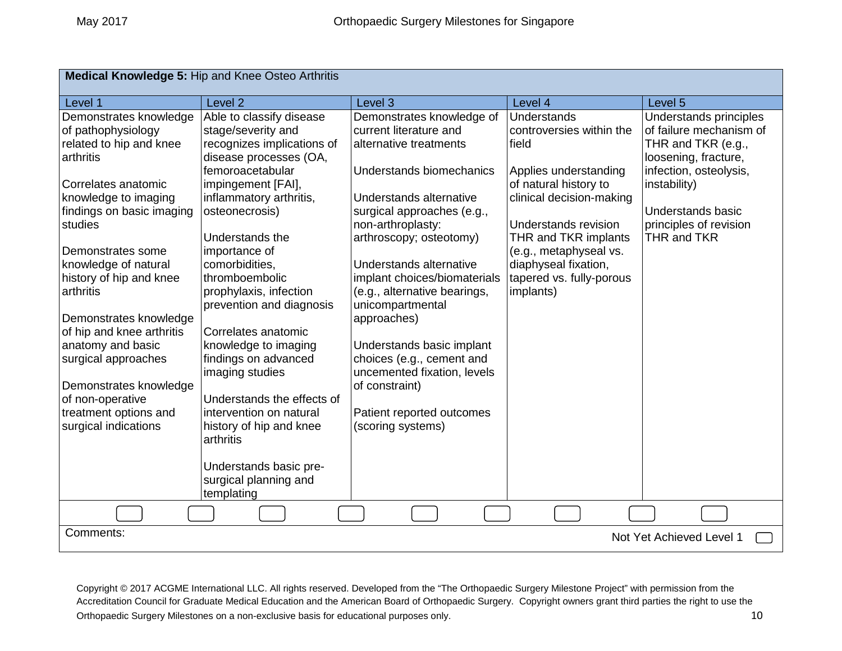| Medical Knowledge 5: Hip and Knee Osteo Arthritis                                                                                                                                                                                                                                                                                                                                                                                                                  |                                                                                                                                                                                                                                                                                                                                                                                                                                                                                                                        |                                                                                                                                                                                                                                                                                                                                                                                                                                                                                                               |                                                                                                                                                                                                                                                                                  |                                                                                                                                                                                                         |  |
|--------------------------------------------------------------------------------------------------------------------------------------------------------------------------------------------------------------------------------------------------------------------------------------------------------------------------------------------------------------------------------------------------------------------------------------------------------------------|------------------------------------------------------------------------------------------------------------------------------------------------------------------------------------------------------------------------------------------------------------------------------------------------------------------------------------------------------------------------------------------------------------------------------------------------------------------------------------------------------------------------|---------------------------------------------------------------------------------------------------------------------------------------------------------------------------------------------------------------------------------------------------------------------------------------------------------------------------------------------------------------------------------------------------------------------------------------------------------------------------------------------------------------|----------------------------------------------------------------------------------------------------------------------------------------------------------------------------------------------------------------------------------------------------------------------------------|---------------------------------------------------------------------------------------------------------------------------------------------------------------------------------------------------------|--|
| Level 1                                                                                                                                                                                                                                                                                                                                                                                                                                                            | Level <sub>2</sub>                                                                                                                                                                                                                                                                                                                                                                                                                                                                                                     | Level 3                                                                                                                                                                                                                                                                                                                                                                                                                                                                                                       | Level 4                                                                                                                                                                                                                                                                          | Level 5                                                                                                                                                                                                 |  |
| Demonstrates knowledge<br>of pathophysiology<br>related to hip and knee<br>arthritis<br>Correlates anatomic<br>knowledge to imaging<br>findings on basic imaging<br>studies<br>Demonstrates some<br>knowledge of natural<br>history of hip and knee<br>arthritis<br>Demonstrates knowledge<br>of hip and knee arthritis<br>anatomy and basic<br>surgical approaches<br>Demonstrates knowledge<br>of non-operative<br>treatment options and<br>surgical indications | Able to classify disease<br>stage/severity and<br>recognizes implications of<br>disease processes (OA,<br>femoroacetabular<br>impingement [FAI],<br>inflammatory arthritis,<br>osteonecrosis)<br>Understands the<br>importance of<br>comorbidities.<br>thromboembolic<br>prophylaxis, infection<br>prevention and diagnosis<br>Correlates anatomic<br>knowledge to imaging<br>findings on advanced<br>imaging studies<br>Understands the effects of<br>intervention on natural<br>history of hip and knee<br>arthritis | Demonstrates knowledge of<br>current literature and<br>alternative treatments<br>Understands biomechanics<br>Understands alternative<br>surgical approaches (e.g.,<br>non-arthroplasty:<br>arthroscopy; osteotomy)<br>Understands alternative<br>implant choices/biomaterials<br>(e.g., alternative bearings,<br>unicompartmental<br>approaches)<br>Understands basic implant<br>choices (e.g., cement and<br>uncemented fixation, levels<br>of constraint)<br>Patient reported outcomes<br>(scoring systems) | <b>Understands</b><br>controversies within the<br>field<br>Applies understanding<br>of natural history to<br>clinical decision-making<br>Understands revision<br>THR and TKR implants<br>(e.g., metaphyseal vs.<br>diaphyseal fixation,<br>tapered vs. fully-porous<br>implants) | Understands principles<br>of failure mechanism of<br>THR and TKR (e.g.,<br>loosening, fracture,<br>infection, osteolysis,<br>instability)<br>Understands basic<br>principles of revision<br>THR and TKR |  |
|                                                                                                                                                                                                                                                                                                                                                                                                                                                                    | Understands basic pre-<br>surgical planning and<br>templating                                                                                                                                                                                                                                                                                                                                                                                                                                                          |                                                                                                                                                                                                                                                                                                                                                                                                                                                                                                               |                                                                                                                                                                                                                                                                                  |                                                                                                                                                                                                         |  |
|                                                                                                                                                                                                                                                                                                                                                                                                                                                                    |                                                                                                                                                                                                                                                                                                                                                                                                                                                                                                                        |                                                                                                                                                                                                                                                                                                                                                                                                                                                                                                               |                                                                                                                                                                                                                                                                                  |                                                                                                                                                                                                         |  |
| Comments:                                                                                                                                                                                                                                                                                                                                                                                                                                                          | Not Yet Achieved Level 1                                                                                                                                                                                                                                                                                                                                                                                                                                                                                               |                                                                                                                                                                                                                                                                                                                                                                                                                                                                                                               |                                                                                                                                                                                                                                                                                  |                                                                                                                                                                                                         |  |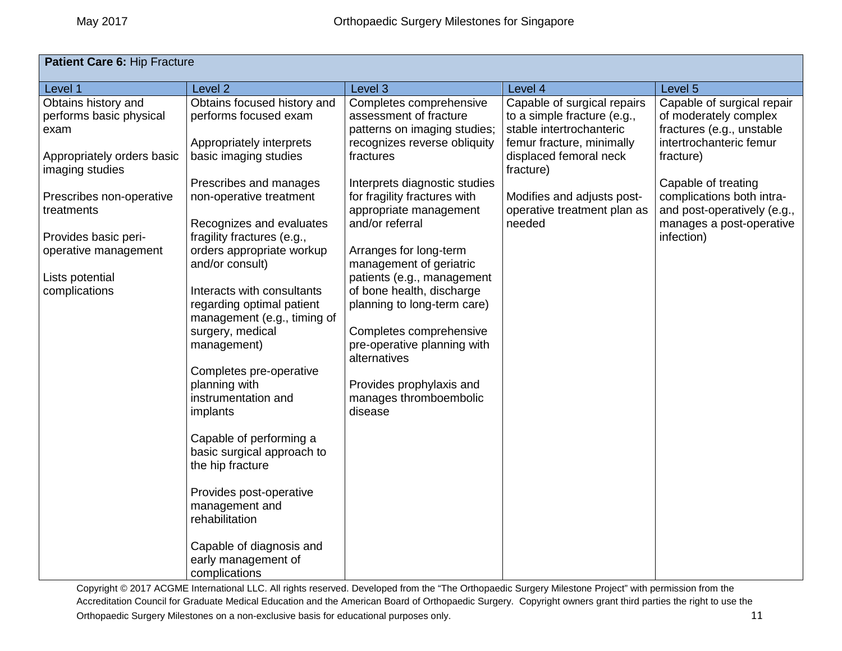| Patient Care 6: Hip Fracture                                    |                                                                                        |                                                                                                                   |                                                                                                                     |                                                                                                             |
|-----------------------------------------------------------------|----------------------------------------------------------------------------------------|-------------------------------------------------------------------------------------------------------------------|---------------------------------------------------------------------------------------------------------------------|-------------------------------------------------------------------------------------------------------------|
| Level 1                                                         | Level <sub>2</sub>                                                                     | Level 3                                                                                                           | Level 4                                                                                                             | Level 5                                                                                                     |
| Obtains history and<br>performs basic physical<br>exam          | Obtains focused history and<br>performs focused exam<br>Appropriately interprets       | Completes comprehensive<br>assessment of fracture<br>patterns on imaging studies;<br>recognizes reverse obliquity | Capable of surgical repairs<br>to a simple fracture (e.g.,<br>stable intertrochanteric<br>femur fracture, minimally | Capable of surgical repair<br>of moderately complex<br>fractures (e.g., unstable<br>intertrochanteric femur |
| Appropriately orders basic<br>imaging studies                   | basic imaging studies                                                                  | fractures                                                                                                         | displaced femoral neck<br>fracture)                                                                                 | fracture)                                                                                                   |
| Prescribes non-operative<br>treatments                          | Prescribes and manages<br>non-operative treatment<br>Recognizes and evaluates          | Interprets diagnostic studies<br>for fragility fractures with<br>appropriate management<br>and/or referral        | Modifies and adjusts post-<br>operative treatment plan as<br>needed                                                 | Capable of treating<br>complications both intra-<br>and post-operatively (e.g.,<br>manages a post-operative |
| Provides basic peri-<br>operative management<br>Lists potential | fragility fractures (e.g.,<br>orders appropriate workup<br>and/or consult)             | Arranges for long-term<br>management of geriatric<br>patients (e.g., management                                   |                                                                                                                     | infection)                                                                                                  |
| complications                                                   | Interacts with consultants<br>regarding optimal patient<br>management (e.g., timing of | of bone health, discharge<br>planning to long-term care)                                                          |                                                                                                                     |                                                                                                             |
|                                                                 | surgery, medical<br>management)                                                        | Completes comprehensive<br>pre-operative planning with<br>alternatives                                            |                                                                                                                     |                                                                                                             |
|                                                                 | Completes pre-operative<br>planning with<br>instrumentation and                        | Provides prophylaxis and                                                                                          |                                                                                                                     |                                                                                                             |
|                                                                 | implants                                                                               | manages thromboembolic<br>disease                                                                                 |                                                                                                                     |                                                                                                             |
|                                                                 | Capable of performing a<br>basic surgical approach to<br>the hip fracture              |                                                                                                                   |                                                                                                                     |                                                                                                             |
|                                                                 | Provides post-operative<br>management and<br>rehabilitation                            |                                                                                                                   |                                                                                                                     |                                                                                                             |
|                                                                 | Capable of diagnosis and<br>early management of<br>complications                       |                                                                                                                   |                                                                                                                     |                                                                                                             |

Copyright © 2017 ACGME International LLC. All rights reserved. Developed from the "The Orthopaedic Surgery Milestone Project" with permission from the Accreditation Council for Graduate Medical Education and the American Board of Orthopaedic Surgery. Copyright owners grant third parties the right to use the

Orthopaedic Surgery Milestones on a non-exclusive basis for educational purposes only. 11 and the state of the state of the state of the state of the state of the state of the state of the state of the state of the state o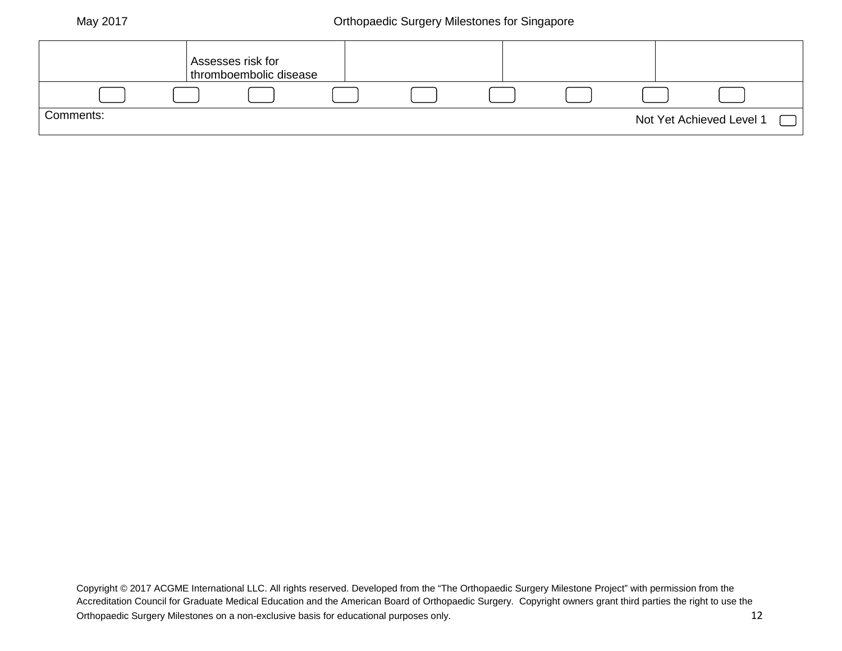May 2017 Orthopaedic Surgery Milestones for Singapore

|           | Assesses risk for<br>thromboembolic disease |  |  |                          |  |
|-----------|---------------------------------------------|--|--|--------------------------|--|
|           |                                             |  |  |                          |  |
| Comments: |                                             |  |  | Not Yet Achieved Level 1 |  |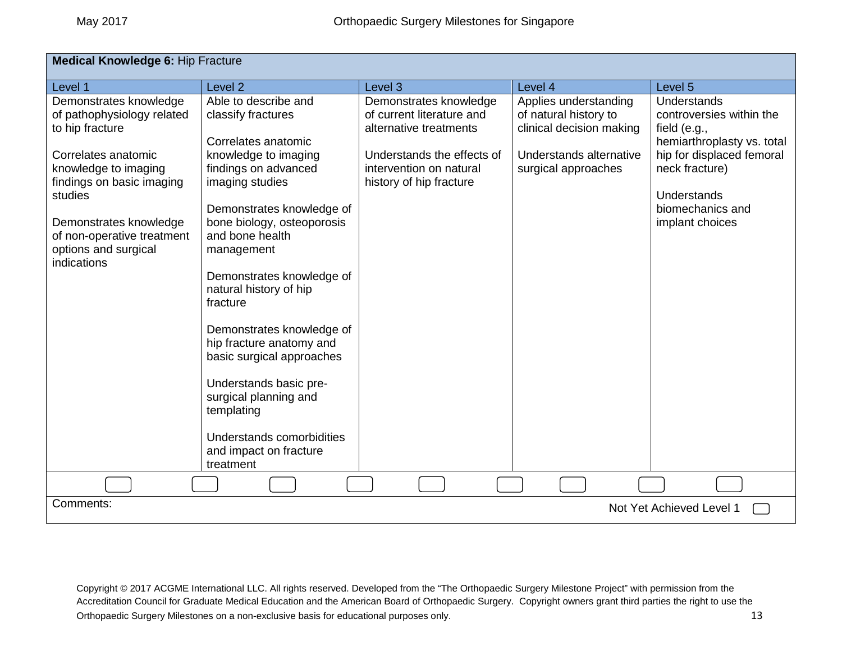| <b>Medical Knowledge 6: Hip Fracture</b>                                                                                                                                                                                                                      |                                                                                                                                                                                                                                                                                                                                                                                                                                                                                                                   |                                                                                                                                                                   |                                                                                                                              |                                                                                                                                                                                                          |  |
|---------------------------------------------------------------------------------------------------------------------------------------------------------------------------------------------------------------------------------------------------------------|-------------------------------------------------------------------------------------------------------------------------------------------------------------------------------------------------------------------------------------------------------------------------------------------------------------------------------------------------------------------------------------------------------------------------------------------------------------------------------------------------------------------|-------------------------------------------------------------------------------------------------------------------------------------------------------------------|------------------------------------------------------------------------------------------------------------------------------|----------------------------------------------------------------------------------------------------------------------------------------------------------------------------------------------------------|--|
| Level 1                                                                                                                                                                                                                                                       | Level <sub>2</sub>                                                                                                                                                                                                                                                                                                                                                                                                                                                                                                | Level <sub>3</sub>                                                                                                                                                | Level 4                                                                                                                      | Level 5                                                                                                                                                                                                  |  |
| Demonstrates knowledge<br>of pathophysiology related<br>to hip fracture<br>Correlates anatomic<br>knowledge to imaging<br>findings on basic imaging<br>studies<br>Demonstrates knowledge<br>of non-operative treatment<br>options and surgical<br>indications | Able to describe and<br>classify fractures<br>Correlates anatomic<br>knowledge to imaging<br>findings on advanced<br>imaging studies<br>Demonstrates knowledge of<br>bone biology, osteoporosis<br>and bone health<br>management<br>Demonstrates knowledge of<br>natural history of hip<br>fracture<br>Demonstrates knowledge of<br>hip fracture anatomy and<br>basic surgical approaches<br>Understands basic pre-<br>surgical planning and<br>templating<br>Understands comorbidities<br>and impact on fracture | Demonstrates knowledge<br>of current literature and<br>alternative treatments<br>Understands the effects of<br>intervention on natural<br>history of hip fracture | Applies understanding<br>of natural history to<br>clinical decision making<br>Understands alternative<br>surgical approaches | <b>Understands</b><br>controversies within the<br>field (e.g.,<br>hemiarthroplasty vs. total<br>hip for displaced femoral<br>neck fracture)<br><b>Understands</b><br>biomechanics and<br>implant choices |  |
|                                                                                                                                                                                                                                                               | treatment                                                                                                                                                                                                                                                                                                                                                                                                                                                                                                         |                                                                                                                                                                   |                                                                                                                              |                                                                                                                                                                                                          |  |
|                                                                                                                                                                                                                                                               |                                                                                                                                                                                                                                                                                                                                                                                                                                                                                                                   |                                                                                                                                                                   |                                                                                                                              |                                                                                                                                                                                                          |  |
| Comments:                                                                                                                                                                                                                                                     |                                                                                                                                                                                                                                                                                                                                                                                                                                                                                                                   |                                                                                                                                                                   |                                                                                                                              | Not Yet Achieved Level 1                                                                                                                                                                                 |  |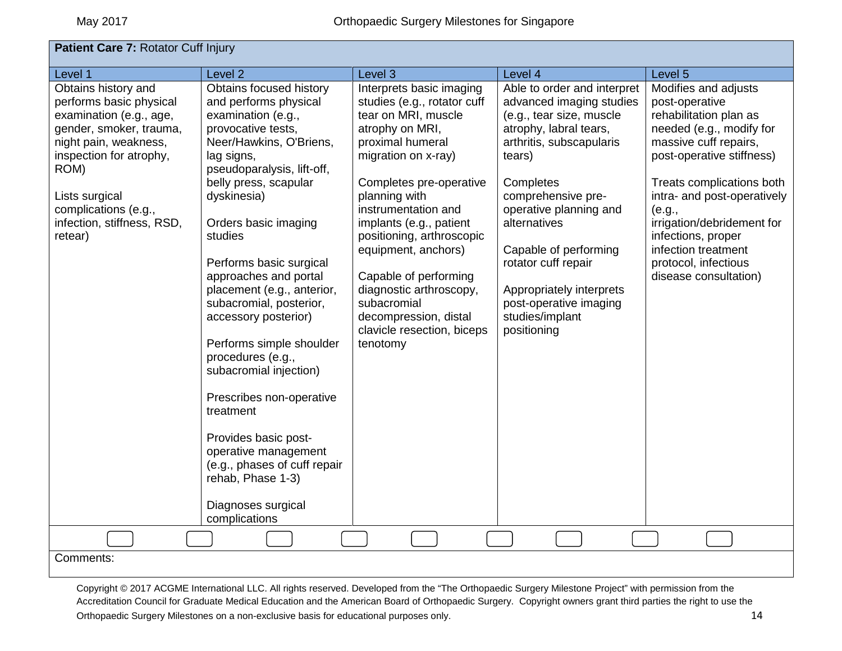# **Patient Care 7: Rotator Cuff Injury**

| Level 1                                                                                                                                                                                                                                             | Level <sub>2</sub>                                                                                                                                                                                                                                                                                                                                                                                                                                                                                                                                                                                                                 | Level 3                                                                                                                                                                                                                                                                                                                                                                                                                              | Level 4                                                                                                                                                                                                                                                                                                                                                                  | Level 5                                                                                                                                                                                                                                                                                                                                              |
|-----------------------------------------------------------------------------------------------------------------------------------------------------------------------------------------------------------------------------------------------------|------------------------------------------------------------------------------------------------------------------------------------------------------------------------------------------------------------------------------------------------------------------------------------------------------------------------------------------------------------------------------------------------------------------------------------------------------------------------------------------------------------------------------------------------------------------------------------------------------------------------------------|--------------------------------------------------------------------------------------------------------------------------------------------------------------------------------------------------------------------------------------------------------------------------------------------------------------------------------------------------------------------------------------------------------------------------------------|--------------------------------------------------------------------------------------------------------------------------------------------------------------------------------------------------------------------------------------------------------------------------------------------------------------------------------------------------------------------------|------------------------------------------------------------------------------------------------------------------------------------------------------------------------------------------------------------------------------------------------------------------------------------------------------------------------------------------------------|
| Obtains history and<br>performs basic physical<br>examination (e.g., age,<br>gender, smoker, trauma,<br>night pain, weakness,<br>inspection for atrophy,<br>ROM)<br>Lists surgical<br>complications (e.g.,<br>infection, stiffness, RSD,<br>retear) | Obtains focused history<br>and performs physical<br>examination (e.g.,<br>provocative tests,<br>Neer/Hawkins, O'Briens,<br>lag signs,<br>pseudoparalysis, lift-off,<br>belly press, scapular<br>dyskinesia)<br>Orders basic imaging<br>studies<br>Performs basic surgical<br>approaches and portal<br>placement (e.g., anterior,<br>subacromial, posterior,<br>accessory posterior)<br>Performs simple shoulder<br>procedures (e.g.,<br>subacromial injection)<br>Prescribes non-operative<br>treatment<br>Provides basic post-<br>operative management<br>(e.g., phases of cuff repair<br>rehab, Phase 1-3)<br>Diagnoses surgical | Interprets basic imaging<br>studies (e.g., rotator cuff<br>tear on MRI, muscle<br>atrophy on MRI,<br>proximal humeral<br>migration on x-ray)<br>Completes pre-operative<br>planning with<br>instrumentation and<br>implants (e.g., patient<br>positioning, arthroscopic<br>equipment, anchors)<br>Capable of performing<br>diagnostic arthroscopy,<br>subacromial<br>decompression, distal<br>clavicle resection, biceps<br>tenotomy | Able to order and interpret<br>advanced imaging studies<br>(e.g., tear size, muscle<br>atrophy, labral tears,<br>arthritis, subscapularis<br>tears)<br>Completes<br>comprehensive pre-<br>operative planning and<br>alternatives<br>Capable of performing<br>rotator cuff repair<br>Appropriately interprets<br>post-operative imaging<br>studies/implant<br>positioning | Modifies and adjusts<br>post-operative<br>rehabilitation plan as<br>needed (e.g., modify for<br>massive cuff repairs,<br>post-operative stiffness)<br>Treats complications both<br>intra- and post-operatively<br>(e.g.,<br>irrigation/debridement for<br>infections, proper<br>infection treatment<br>protocol, infectious<br>disease consultation) |
|                                                                                                                                                                                                                                                     | complications                                                                                                                                                                                                                                                                                                                                                                                                                                                                                                                                                                                                                      |                                                                                                                                                                                                                                                                                                                                                                                                                                      |                                                                                                                                                                                                                                                                                                                                                                          |                                                                                                                                                                                                                                                                                                                                                      |
|                                                                                                                                                                                                                                                     |                                                                                                                                                                                                                                                                                                                                                                                                                                                                                                                                                                                                                                    |                                                                                                                                                                                                                                                                                                                                                                                                                                      |                                                                                                                                                                                                                                                                                                                                                                          |                                                                                                                                                                                                                                                                                                                                                      |
| Comments:                                                                                                                                                                                                                                           |                                                                                                                                                                                                                                                                                                                                                                                                                                                                                                                                                                                                                                    |                                                                                                                                                                                                                                                                                                                                                                                                                                      |                                                                                                                                                                                                                                                                                                                                                                          |                                                                                                                                                                                                                                                                                                                                                      |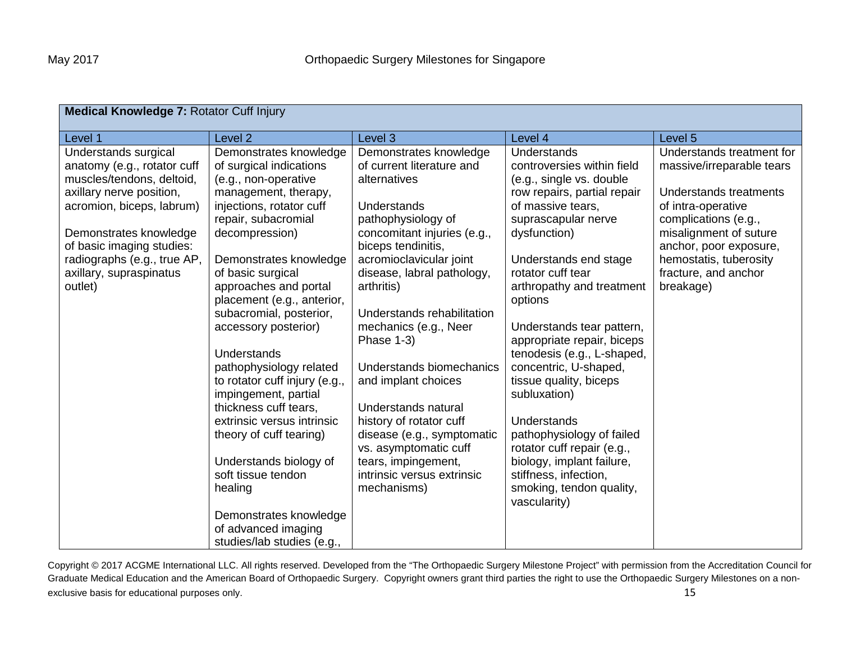| Medical Knowledge 7: Rotator Cuff Injury                                                                                                                                                                                                                              |                                                                                                                                                                                                                                                                                                                                                                                                                                                                                                                                                                                 |                                                                                                                                                                                                                                                                                                                                                                                                                                                                                                                                                  |                                                                                                                                                                                                                                                                                                                                                                                                                                                                                                                                                                                |                                                                                                                                                                                                                                                   |  |
|-----------------------------------------------------------------------------------------------------------------------------------------------------------------------------------------------------------------------------------------------------------------------|---------------------------------------------------------------------------------------------------------------------------------------------------------------------------------------------------------------------------------------------------------------------------------------------------------------------------------------------------------------------------------------------------------------------------------------------------------------------------------------------------------------------------------------------------------------------------------|--------------------------------------------------------------------------------------------------------------------------------------------------------------------------------------------------------------------------------------------------------------------------------------------------------------------------------------------------------------------------------------------------------------------------------------------------------------------------------------------------------------------------------------------------|--------------------------------------------------------------------------------------------------------------------------------------------------------------------------------------------------------------------------------------------------------------------------------------------------------------------------------------------------------------------------------------------------------------------------------------------------------------------------------------------------------------------------------------------------------------------------------|---------------------------------------------------------------------------------------------------------------------------------------------------------------------------------------------------------------------------------------------------|--|
| Level 1                                                                                                                                                                                                                                                               | Level <sub>2</sub>                                                                                                                                                                                                                                                                                                                                                                                                                                                                                                                                                              | Level <sub>3</sub>                                                                                                                                                                                                                                                                                                                                                                                                                                                                                                                               | Level 4                                                                                                                                                                                                                                                                                                                                                                                                                                                                                                                                                                        | Level 5                                                                                                                                                                                                                                           |  |
| Understands surgical<br>anatomy (e.g., rotator cuff<br>muscles/tendons, deltoid,<br>axillary nerve position,<br>acromion, biceps, labrum)<br>Demonstrates knowledge<br>of basic imaging studies:<br>radiographs (e.g., true AP,<br>axillary, supraspinatus<br>outlet) | Demonstrates knowledge<br>of surgical indications<br>(e.g., non-operative<br>management, therapy,<br>injections, rotator cuff<br>repair, subacromial<br>decompression)<br>Demonstrates knowledge<br>of basic surgical<br>approaches and portal<br>placement (e.g., anterior,<br>subacromial, posterior,<br>accessory posterior)<br>Understands<br>pathophysiology related<br>to rotator cuff injury (e.g.,<br>impingement, partial<br>thickness cuff tears.<br>extrinsic versus intrinsic<br>theory of cuff tearing)<br>Understands biology of<br>soft tissue tendon<br>healing | Demonstrates knowledge<br>of current literature and<br>alternatives<br><b>Understands</b><br>pathophysiology of<br>concomitant injuries (e.g.,<br>biceps tendinitis,<br>acromioclavicular joint<br>disease, labral pathology,<br>arthritis)<br>Understands rehabilitation<br>mechanics (e.g., Neer<br>Phase 1-3)<br>Understands biomechanics<br>and implant choices<br>Understands natural<br>history of rotator cuff<br>disease (e.g., symptomatic<br>vs. asymptomatic cuff<br>tears, impingement,<br>intrinsic versus extrinsic<br>mechanisms) | Understands<br>controversies within field<br>(e.g., single vs. double<br>row repairs, partial repair<br>of massive tears,<br>suprascapular nerve<br>dysfunction)<br>Understands end stage<br>rotator cuff tear<br>arthropathy and treatment<br>options<br>Understands tear pattern,<br>appropriate repair, biceps<br>tenodesis (e.g., L-shaped,<br>concentric, U-shaped,<br>tissue quality, biceps<br>subluxation)<br>Understands<br>pathophysiology of failed<br>rotator cuff repair (e.g.,<br>biology, implant failure,<br>stiffness, infection,<br>smoking, tendon quality, | Understands treatment for<br>massive/irreparable tears<br>Understands treatments<br>of intra-operative<br>complications (e.g.,<br>misalignment of suture<br>anchor, poor exposure,<br>hemostatis, tuberosity<br>fracture, and anchor<br>breakage) |  |
|                                                                                                                                                                                                                                                                       | Demonstrates knowledge<br>of advanced imaging<br>studies/lab studies (e.g.,                                                                                                                                                                                                                                                                                                                                                                                                                                                                                                     |                                                                                                                                                                                                                                                                                                                                                                                                                                                                                                                                                  | vascularity)                                                                                                                                                                                                                                                                                                                                                                                                                                                                                                                                                                   |                                                                                                                                                                                                                                                   |  |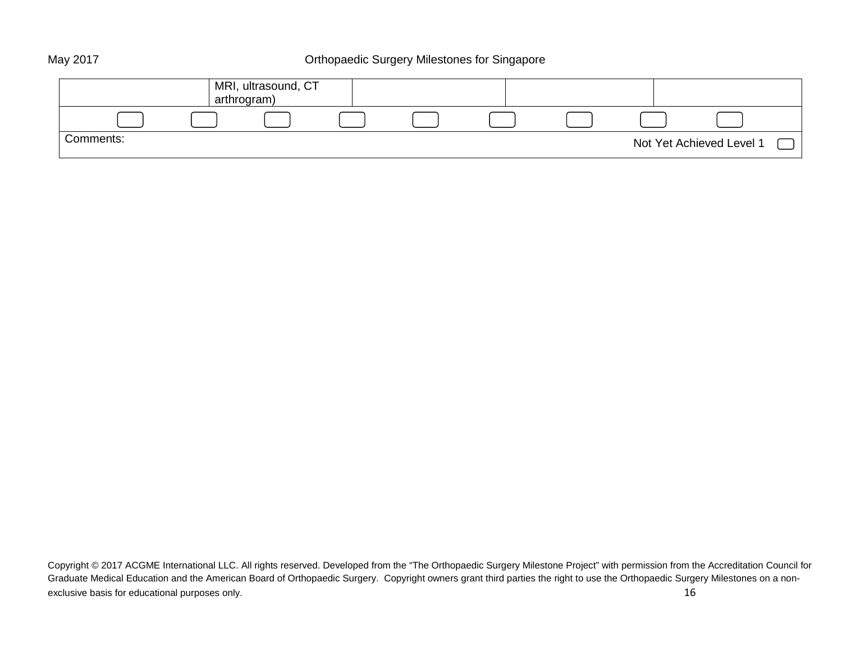### May 2017 Orthopaedic Surgery Milestones for Singapore

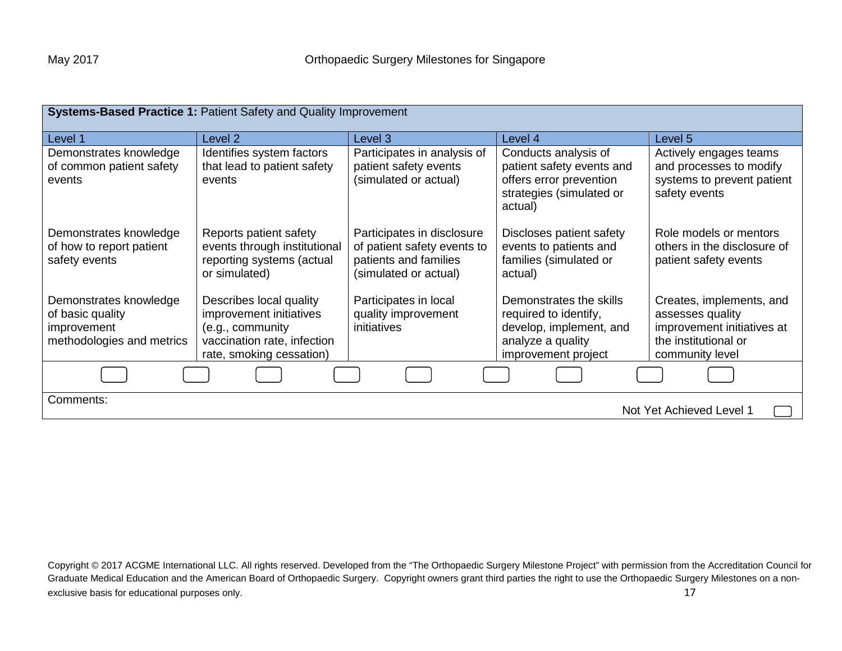| <b>Systems-Based Practice 1: Patient Safety and Quality Improvement</b>                |                                                                                                                                   |                                                                                                             |                                                                                                                         |                                                                                                                       |  |
|----------------------------------------------------------------------------------------|-----------------------------------------------------------------------------------------------------------------------------------|-------------------------------------------------------------------------------------------------------------|-------------------------------------------------------------------------------------------------------------------------|-----------------------------------------------------------------------------------------------------------------------|--|
| Level 1                                                                                | Level 2                                                                                                                           | Level 3                                                                                                     | Level 4                                                                                                                 | Level <sub>5</sub>                                                                                                    |  |
| Demonstrates knowledge<br>of common patient safety<br>events                           | Identifies system factors<br>that lead to patient safety<br>events                                                                | Participates in analysis of<br>patient safety events<br>(simulated or actual)                               | Conducts analysis of<br>patient safety events and<br>offers error prevention<br>strategies (simulated or<br>actual)     | Actively engages teams<br>and processes to modify<br>systems to prevent patient<br>safety events                      |  |
| Demonstrates knowledge<br>of how to report patient<br>safety events                    | Reports patient safety<br>events through institutional<br>reporting systems (actual<br>or simulated)                              | Participates in disclosure<br>of patient safety events to<br>patients and families<br>(simulated or actual) | Discloses patient safety<br>events to patients and<br>families (simulated or<br>actual)                                 | Role models or mentors<br>others in the disclosure of<br>patient safety events                                        |  |
| Demonstrates knowledge<br>of basic quality<br>improvement<br>methodologies and metrics | Describes local quality<br>improvement initiatives<br>(e.g., community<br>vaccination rate, infection<br>rate, smoking cessation) | Participates in local<br>quality improvement<br>initiatives                                                 | Demonstrates the skills<br>required to identify,<br>develop, implement, and<br>analyze a quality<br>improvement project | Creates, implements, and<br>assesses quality<br>improvement initiatives at<br>the institutional or<br>community level |  |
|                                                                                        |                                                                                                                                   |                                                                                                             |                                                                                                                         |                                                                                                                       |  |
| Comments:<br>Not Yet Achieved Level 1                                                  |                                                                                                                                   |                                                                                                             |                                                                                                                         |                                                                                                                       |  |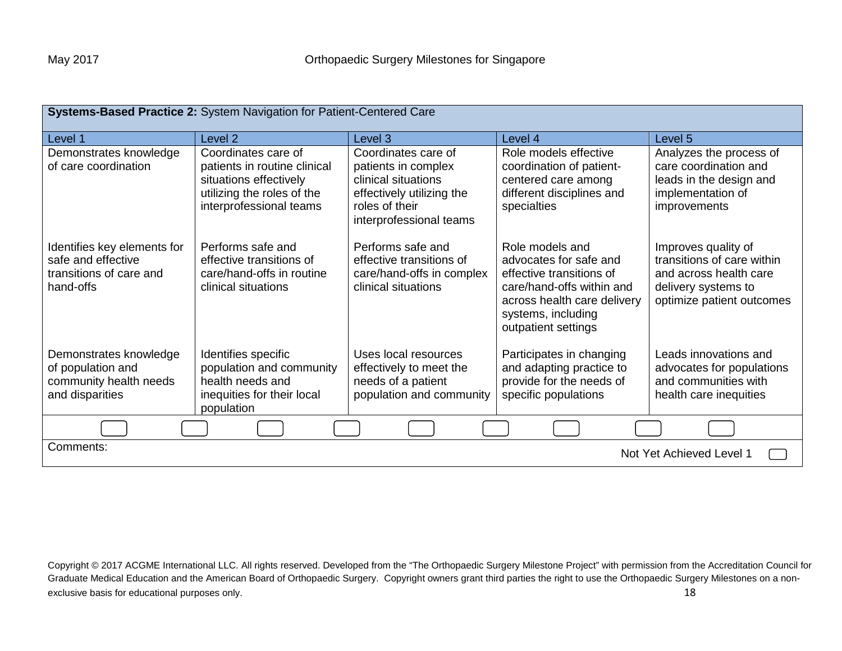| Systems-Based Practice 2: System Navigation for Patient-Centered Care                     |                                                                                                                                        |                                                                                                                                             |                                                                                                                                                                                |                                                                                                                                 |  |
|-------------------------------------------------------------------------------------------|----------------------------------------------------------------------------------------------------------------------------------------|---------------------------------------------------------------------------------------------------------------------------------------------|--------------------------------------------------------------------------------------------------------------------------------------------------------------------------------|---------------------------------------------------------------------------------------------------------------------------------|--|
| Level 1                                                                                   | Level <sub>2</sub>                                                                                                                     | Level 3                                                                                                                                     | Level 4                                                                                                                                                                        | Level 5                                                                                                                         |  |
| Demonstrates knowledge<br>of care coordination                                            | Coordinates care of<br>patients in routine clinical<br>situations effectively<br>utilizing the roles of the<br>interprofessional teams | Coordinates care of<br>patients in complex<br>clinical situations<br>effectively utilizing the<br>roles of their<br>interprofessional teams | Role models effective<br>coordination of patient-<br>centered care among<br>different disciplines and<br>specialties                                                           | Analyzes the process of<br>care coordination and<br>leads in the design and<br>implementation of<br>improvements                |  |
| Identifies key elements for<br>safe and effective<br>transitions of care and<br>hand-offs | Performs safe and<br>effective transitions of<br>care/hand-offs in routine<br>clinical situations                                      | Performs safe and<br>effective transitions of<br>care/hand-offs in complex<br>clinical situations                                           | Role models and<br>advocates for safe and<br>effective transitions of<br>care/hand-offs within and<br>across health care delivery<br>systems, including<br>outpatient settings | Improves quality of<br>transitions of care within<br>and across health care<br>delivery systems to<br>optimize patient outcomes |  |
| Demonstrates knowledge<br>of population and<br>community health needs<br>and disparities  | Identifies specific<br>population and community<br>health needs and<br>inequities for their local<br>population                        | Uses local resources<br>effectively to meet the<br>needs of a patient<br>population and community                                           | Participates in changing<br>and adapting practice to<br>provide for the needs of<br>specific populations                                                                       | Leads innovations and<br>advocates for populations<br>and communities with<br>health care inequities                            |  |
|                                                                                           |                                                                                                                                        |                                                                                                                                             |                                                                                                                                                                                |                                                                                                                                 |  |
| Comments:<br>Not Yet Achieved Level 1                                                     |                                                                                                                                        |                                                                                                                                             |                                                                                                                                                                                |                                                                                                                                 |  |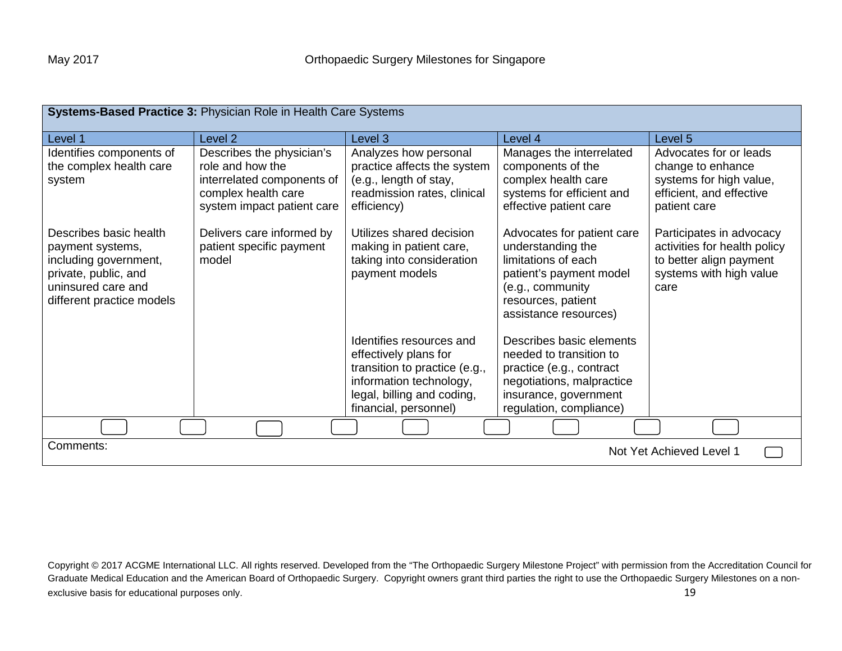| Systems-Based Practice 3: Physician Role in Health Care Systems                                                                                |                                                                                                                                  |                                                                                                                                                                      |                                                                                                                                                                      |                                                                                                                        |  |
|------------------------------------------------------------------------------------------------------------------------------------------------|----------------------------------------------------------------------------------------------------------------------------------|----------------------------------------------------------------------------------------------------------------------------------------------------------------------|----------------------------------------------------------------------------------------------------------------------------------------------------------------------|------------------------------------------------------------------------------------------------------------------------|--|
| Level 1                                                                                                                                        | Level 2                                                                                                                          | Level 3                                                                                                                                                              | Level 4                                                                                                                                                              | Level 5                                                                                                                |  |
| Identifies components of<br>the complex health care<br>system                                                                                  | Describes the physician's<br>role and how the<br>interrelated components of<br>complex health care<br>system impact patient care | Analyzes how personal<br>practice affects the system<br>(e.g., length of stay,<br>readmission rates, clinical<br>efficiency)                                         | Manages the interrelated<br>components of the<br>complex health care<br>systems for efficient and<br>effective patient care                                          | Advocates for or leads<br>change to enhance<br>systems for high value,<br>efficient, and effective<br>patient care     |  |
| Describes basic health<br>payment systems,<br>including government,<br>private, public, and<br>uninsured care and<br>different practice models | Delivers care informed by<br>patient specific payment<br>model                                                                   | Utilizes shared decision<br>making in patient care,<br>taking into consideration<br>payment models                                                                   | Advocates for patient care<br>understanding the<br>limitations of each<br>patient's payment model<br>(e.g., community<br>resources, patient<br>assistance resources) | Participates in advocacy<br>activities for health policy<br>to better align payment<br>systems with high value<br>care |  |
|                                                                                                                                                |                                                                                                                                  | Identifies resources and<br>effectively plans for<br>transition to practice (e.g.,<br>information technology,<br>legal, billing and coding,<br>financial, personnel) | Describes basic elements<br>needed to transition to<br>practice (e.g., contract<br>negotiations, malpractice<br>insurance, government<br>regulation, compliance)     |                                                                                                                        |  |
|                                                                                                                                                |                                                                                                                                  |                                                                                                                                                                      |                                                                                                                                                                      |                                                                                                                        |  |
| Comments:<br>Not Yet Achieved Level 1                                                                                                          |                                                                                                                                  |                                                                                                                                                                      |                                                                                                                                                                      |                                                                                                                        |  |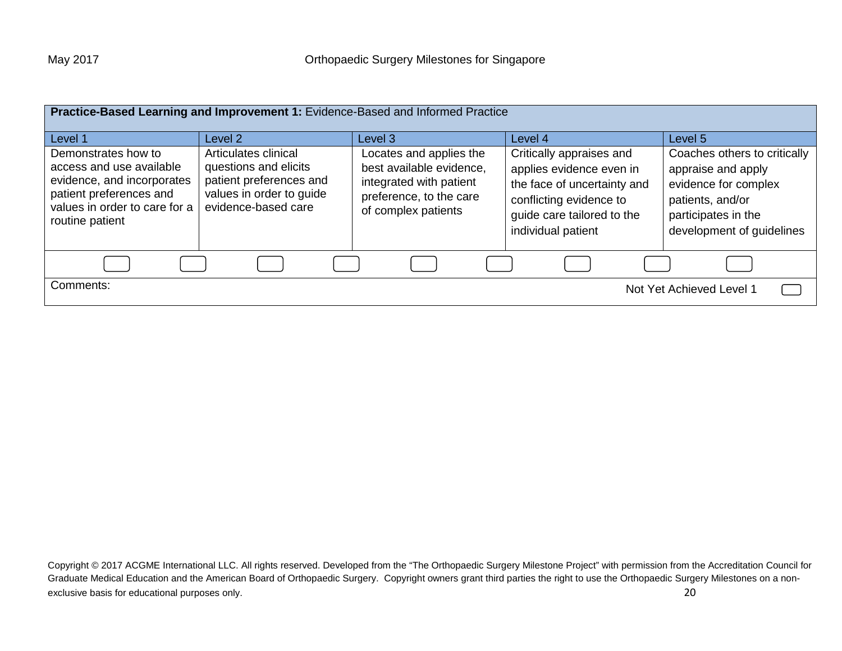| Practice-Based Learning and Improvement 1: Evidence-Based and Informed Practice                                                                              |                                                                                                                             |                                                                                                                                  |                                                                                                                                                                    |                                                                                                                                                    |  |
|--------------------------------------------------------------------------------------------------------------------------------------------------------------|-----------------------------------------------------------------------------------------------------------------------------|----------------------------------------------------------------------------------------------------------------------------------|--------------------------------------------------------------------------------------------------------------------------------------------------------------------|----------------------------------------------------------------------------------------------------------------------------------------------------|--|
| Level 1                                                                                                                                                      | Level 2                                                                                                                     | Level 3                                                                                                                          | Level 4                                                                                                                                                            | Level 5                                                                                                                                            |  |
| Demonstrates how to<br>access and use available<br>evidence, and incorporates<br>patient preferences and<br>values in order to care for a<br>routine patient | Articulates clinical<br>questions and elicits<br>patient preferences and<br>values in order to guide<br>evidence-based care | Locates and applies the<br>best available evidence,<br>integrated with patient<br>preference, to the care<br>of complex patients | Critically appraises and<br>applies evidence even in<br>the face of uncertainty and<br>conflicting evidence to<br>guide care tailored to the<br>individual patient | Coaches others to critically<br>appraise and apply<br>evidence for complex<br>patients, and/or<br>participates in the<br>development of guidelines |  |
|                                                                                                                                                              |                                                                                                                             |                                                                                                                                  |                                                                                                                                                                    |                                                                                                                                                    |  |
| Comments:                                                                                                                                                    |                                                                                                                             |                                                                                                                                  |                                                                                                                                                                    | Not Yet Achieved Level 1                                                                                                                           |  |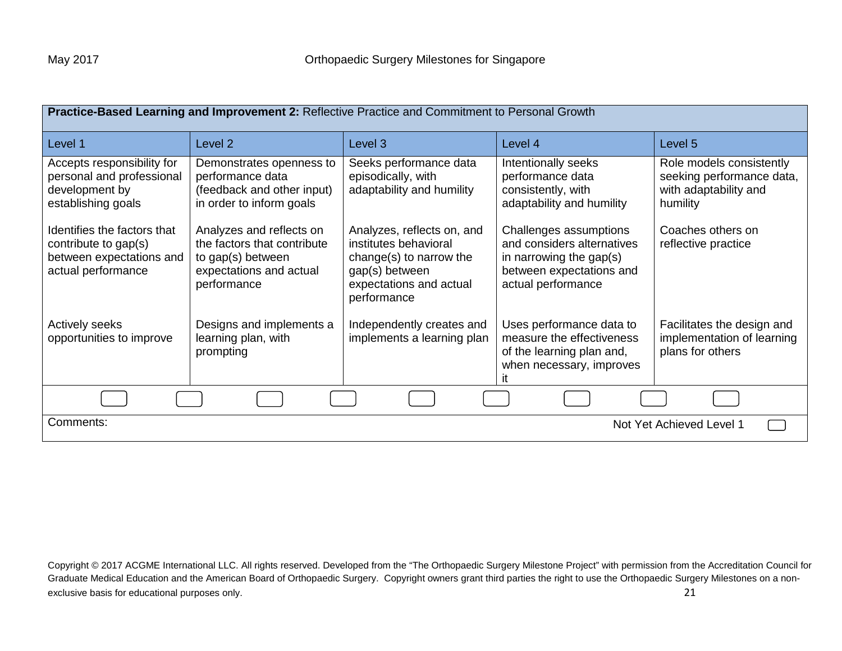| Practice-Based Learning and Improvement 2: Reflective Practice and Commitment to Personal Growth      |                                                                                                                        |                                                                                                                                            |                                                                                                                                   |                                                                                            |  |
|-------------------------------------------------------------------------------------------------------|------------------------------------------------------------------------------------------------------------------------|--------------------------------------------------------------------------------------------------------------------------------------------|-----------------------------------------------------------------------------------------------------------------------------------|--------------------------------------------------------------------------------------------|--|
| Level 1                                                                                               | Level 2                                                                                                                | Level 3                                                                                                                                    | Level 4                                                                                                                           | Level 5                                                                                    |  |
| Accepts responsibility for<br>personal and professional<br>development by<br>establishing goals       | Demonstrates openness to<br>performance data<br>(feedback and other input)<br>in order to inform goals                 | Seeks performance data<br>episodically, with<br>adaptability and humility                                                                  | Intentionally seeks<br>performance data<br>consistently, with<br>adaptability and humility                                        | Role models consistently<br>seeking performance data,<br>with adaptability and<br>humility |  |
| Identifies the factors that<br>contribute to gap(s)<br>between expectations and<br>actual performance | Analyzes and reflects on<br>the factors that contribute<br>to gap(s) between<br>expectations and actual<br>performance | Analyzes, reflects on, and<br>institutes behavioral<br>change(s) to narrow the<br>gap(s) between<br>expectations and actual<br>performance | Challenges assumptions<br>and considers alternatives<br>in narrowing the gap(s)<br>between expectations and<br>actual performance | Coaches others on<br>reflective practice                                                   |  |
| <b>Actively seeks</b><br>opportunities to improve                                                     | Designs and implements a<br>learning plan, with<br>prompting                                                           | Independently creates and<br>implements a learning plan                                                                                    | Uses performance data to<br>measure the effectiveness<br>of the learning plan and,<br>when necessary, improves                    | Facilitates the design and<br>implementation of learning<br>plans for others               |  |
|                                                                                                       |                                                                                                                        |                                                                                                                                            |                                                                                                                                   |                                                                                            |  |
| Comments:<br>Not Yet Achieved Level 1                                                                 |                                                                                                                        |                                                                                                                                            |                                                                                                                                   |                                                                                            |  |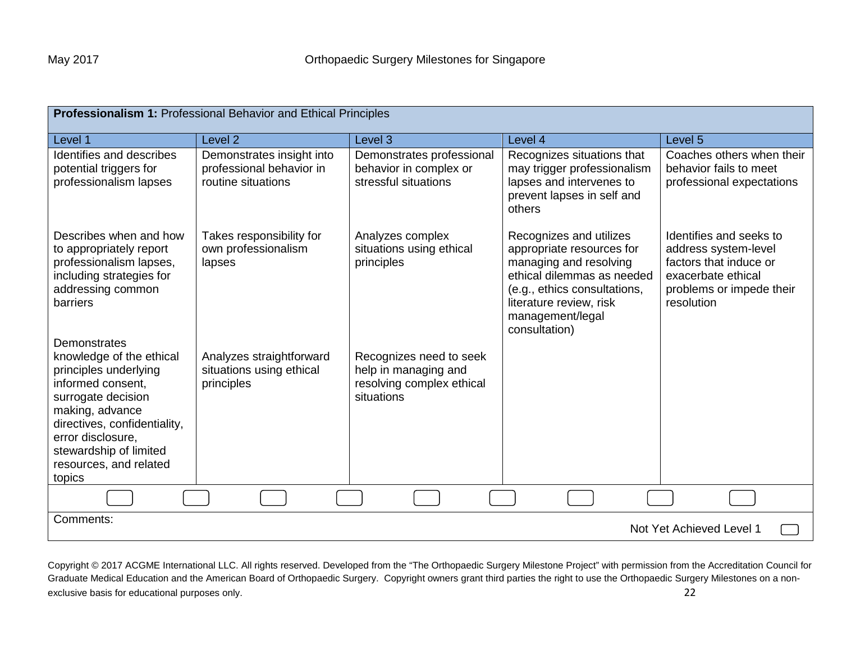| Professionalism 1: Professional Behavior and Ethical Principles                                                                                                                                                                                    |                                                                             |                                                                                            |                                                                                                                                                                                                              |                                                                                                                                           |  |
|----------------------------------------------------------------------------------------------------------------------------------------------------------------------------------------------------------------------------------------------------|-----------------------------------------------------------------------------|--------------------------------------------------------------------------------------------|--------------------------------------------------------------------------------------------------------------------------------------------------------------------------------------------------------------|-------------------------------------------------------------------------------------------------------------------------------------------|--|
| Level 1                                                                                                                                                                                                                                            | Level <sub>2</sub>                                                          | Level 3                                                                                    | Level 4                                                                                                                                                                                                      | Level 5                                                                                                                                   |  |
| Identifies and describes<br>potential triggers for<br>professionalism lapses                                                                                                                                                                       | Demonstrates insight into<br>professional behavior in<br>routine situations | Demonstrates professional<br>behavior in complex or<br>stressful situations                | Recognizes situations that<br>may trigger professionalism<br>lapses and intervenes to<br>prevent lapses in self and<br>others                                                                                | Coaches others when their<br>behavior fails to meet<br>professional expectations                                                          |  |
| Describes when and how<br>to appropriately report<br>professionalism lapses,<br>including strategies for<br>addressing common<br>barriers                                                                                                          | Takes responsibility for<br>own professionalism<br>lapses                   | Analyzes complex<br>situations using ethical<br>principles                                 | Recognizes and utilizes<br>appropriate resources for<br>managing and resolving<br>ethical dilemmas as needed<br>(e.g., ethics consultations,<br>literature review, risk<br>management/legal<br>consultation) | Identifies and seeks to<br>address system-level<br>factors that induce or<br>exacerbate ethical<br>problems or impede their<br>resolution |  |
| Demonstrates<br>knowledge of the ethical<br>principles underlying<br>informed consent,<br>surrogate decision<br>making, advance<br>directives, confidentiality,<br>error disclosure,<br>stewardship of limited<br>resources, and related<br>topics | Analyzes straightforward<br>situations using ethical<br>principles          | Recognizes need to seek<br>help in managing and<br>resolving complex ethical<br>situations |                                                                                                                                                                                                              |                                                                                                                                           |  |
|                                                                                                                                                                                                                                                    |                                                                             |                                                                                            |                                                                                                                                                                                                              |                                                                                                                                           |  |
| Comments:<br>Not Yet Achieved Level 1                                                                                                                                                                                                              |                                                                             |                                                                                            |                                                                                                                                                                                                              |                                                                                                                                           |  |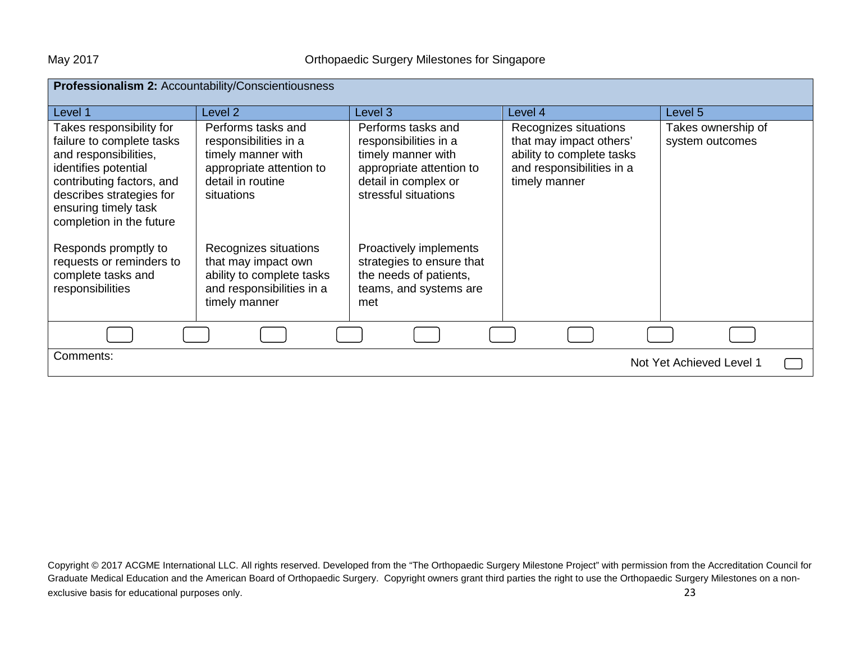### May 2017 Orthopaedic Surgery Milestones for Singapore

| Professionalism 2: Accountability/Conscientiousness                                                                                                                                                                 |                                                                                                                                  |                                                                                                                                               |                                                                                                                             |                                       |  |
|---------------------------------------------------------------------------------------------------------------------------------------------------------------------------------------------------------------------|----------------------------------------------------------------------------------------------------------------------------------|-----------------------------------------------------------------------------------------------------------------------------------------------|-----------------------------------------------------------------------------------------------------------------------------|---------------------------------------|--|
| Level 1                                                                                                                                                                                                             | Level <sub>2</sub>                                                                                                               | Level 3                                                                                                                                       | Level 4                                                                                                                     | Level 5                               |  |
| Takes responsibility for<br>failure to complete tasks<br>and responsibilities,<br>identifies potential<br>contributing factors, and<br>describes strategies for<br>ensuring timely task<br>completion in the future | Performs tasks and<br>responsibilities in a<br>timely manner with<br>appropriate attention to<br>detail in routine<br>situations | Performs tasks and<br>responsibilities in a<br>timely manner with<br>appropriate attention to<br>detail in complex or<br>stressful situations | Recognizes situations<br>that may impact others'<br>ability to complete tasks<br>and responsibilities in a<br>timely manner | Takes ownership of<br>system outcomes |  |
| Responds promptly to<br>requests or reminders to<br>complete tasks and<br>responsibilities                                                                                                                          | Recognizes situations<br>that may impact own<br>ability to complete tasks<br>and responsibilities in a<br>timely manner          | Proactively implements<br>strategies to ensure that<br>the needs of patients,<br>teams, and systems are<br>met                                |                                                                                                                             |                                       |  |
|                                                                                                                                                                                                                     |                                                                                                                                  |                                                                                                                                               |                                                                                                                             |                                       |  |
| Comments:<br>Not Yet Achieved Level 1                                                                                                                                                                               |                                                                                                                                  |                                                                                                                                               |                                                                                                                             |                                       |  |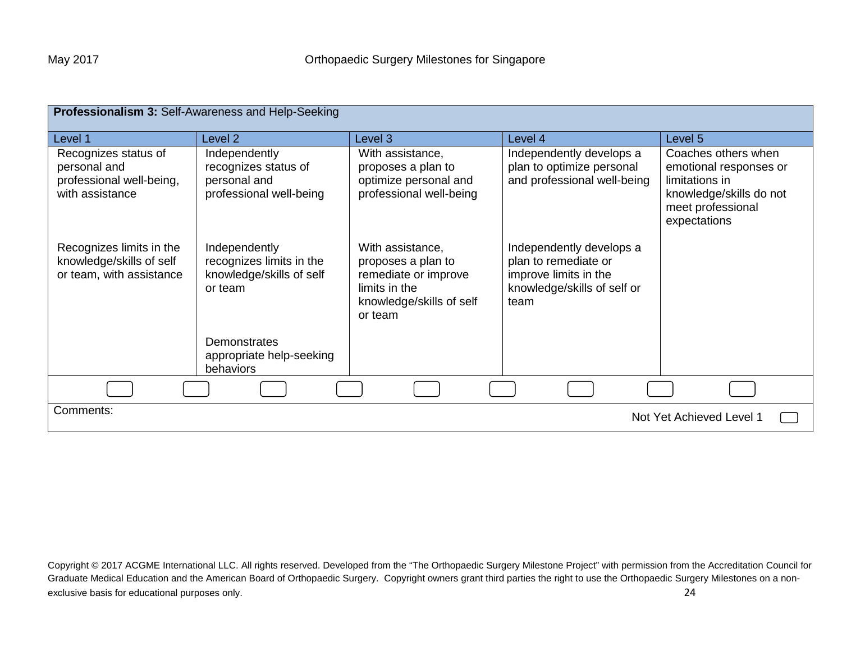| Professionalism 3: Self-Awareness and Help-Seeking                                  |                                                                                  |                                                                                                                        |                                                                                                                  |                                                                                                                                 |  |
|-------------------------------------------------------------------------------------|----------------------------------------------------------------------------------|------------------------------------------------------------------------------------------------------------------------|------------------------------------------------------------------------------------------------------------------|---------------------------------------------------------------------------------------------------------------------------------|--|
| Level 1                                                                             | Level 2                                                                          | Level 3                                                                                                                | Level 4                                                                                                          | Level 5                                                                                                                         |  |
| Recognizes status of<br>personal and<br>professional well-being,<br>with assistance | Independently<br>recognizes status of<br>personal and<br>professional well-being | With assistance,<br>proposes a plan to<br>optimize personal and<br>professional well-being                             | Independently develops a<br>plan to optimize personal<br>and professional well-being                             | Coaches others when<br>emotional responses or<br>limitations in<br>knowledge/skills do not<br>meet professional<br>expectations |  |
| Recognizes limits in the<br>knowledge/skills of self<br>or team, with assistance    | Independently<br>recognizes limits in the<br>knowledge/skills of self<br>or team | With assistance,<br>proposes a plan to<br>remediate or improve<br>limits in the<br>knowledge/skills of self<br>or team | Independently develops a<br>plan to remediate or<br>improve limits in the<br>knowledge/skills of self or<br>team |                                                                                                                                 |  |
|                                                                                     | <b>Demonstrates</b><br>appropriate help-seeking<br>behaviors                     |                                                                                                                        |                                                                                                                  |                                                                                                                                 |  |
|                                                                                     |                                                                                  |                                                                                                                        |                                                                                                                  |                                                                                                                                 |  |
| Comments:<br>Not Yet Achieved Level 1                                               |                                                                                  |                                                                                                                        |                                                                                                                  |                                                                                                                                 |  |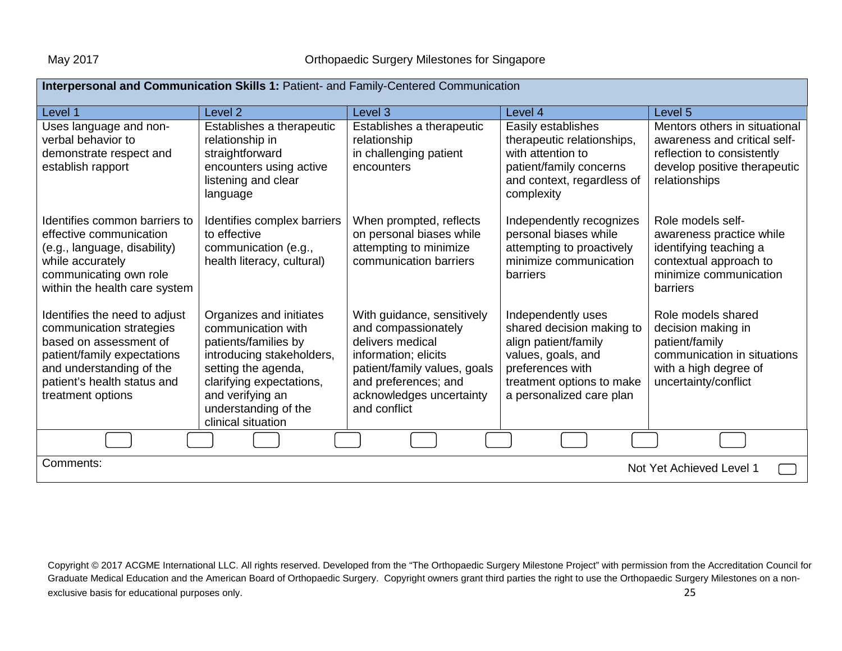### May 2017 Orthopaedic Surgery Milestones for Singapore

| Interpersonal and Communication Skills 1: Patient- and Family-Centered Communication                                                                                                               |                                                                                                                                                                                                                         |                                                                                                                                                                                                   |                                                                                                                                                                            |                                                                                                                                              |  |  |  |
|----------------------------------------------------------------------------------------------------------------------------------------------------------------------------------------------------|-------------------------------------------------------------------------------------------------------------------------------------------------------------------------------------------------------------------------|---------------------------------------------------------------------------------------------------------------------------------------------------------------------------------------------------|----------------------------------------------------------------------------------------------------------------------------------------------------------------------------|----------------------------------------------------------------------------------------------------------------------------------------------|--|--|--|
| Level 1                                                                                                                                                                                            | Level <sub>2</sub>                                                                                                                                                                                                      | Level 3                                                                                                                                                                                           | Level 4                                                                                                                                                                    | Level <sub>5</sub>                                                                                                                           |  |  |  |
| Uses language and non-<br>verbal behavior to<br>demonstrate respect and<br>establish rapport                                                                                                       | Establishes a therapeutic<br>relationship in<br>straightforward<br>encounters using active<br>listening and clear<br>language                                                                                           | Establishes a therapeutic<br>relationship<br>in challenging patient<br>encounters                                                                                                                 | Easily establishes<br>therapeutic relationships,<br>with attention to<br>patient/family concerns<br>and context, regardless of<br>complexity                               | Mentors others in situational<br>awareness and critical self-<br>reflection to consistently<br>develop positive therapeutic<br>relationships |  |  |  |
| Identifies common barriers to<br>effective communication<br>(e.g., language, disability)<br>while accurately<br>communicating own role<br>within the health care system                            | Identifies complex barriers<br>to effective<br>communication (e.g.,<br>health literacy, cultural)                                                                                                                       | When prompted, reflects<br>on personal biases while<br>attempting to minimize<br>communication barriers                                                                                           | Independently recognizes<br>personal biases while<br>attempting to proactively<br>minimize communication<br>barriers                                                       | Role models self-<br>awareness practice while<br>identifying teaching a<br>contextual approach to<br>minimize communication<br>barriers      |  |  |  |
| Identifies the need to adjust<br>communication strategies<br>based on assessment of<br>patient/family expectations<br>and understanding of the<br>patient's health status and<br>treatment options | Organizes and initiates<br>communication with<br>patients/families by<br>introducing stakeholders,<br>setting the agenda,<br>clarifying expectations,<br>and verifying an<br>understanding of the<br>clinical situation | With guidance, sensitively<br>and compassionately<br>delivers medical<br>information; elicits<br>patient/family values, goals<br>and preferences; and<br>acknowledges uncertainty<br>and conflict | Independently uses<br>shared decision making to<br>align patient/family<br>values, goals, and<br>preferences with<br>treatment options to make<br>a personalized care plan | Role models shared<br>decision making in<br>patient/family<br>communication in situations<br>with a high degree of<br>uncertainty/conflict   |  |  |  |
|                                                                                                                                                                                                    |                                                                                                                                                                                                                         |                                                                                                                                                                                                   |                                                                                                                                                                            |                                                                                                                                              |  |  |  |
| Comments:<br>Not Yet Achieved Level 1                                                                                                                                                              |                                                                                                                                                                                                                         |                                                                                                                                                                                                   |                                                                                                                                                                            |                                                                                                                                              |  |  |  |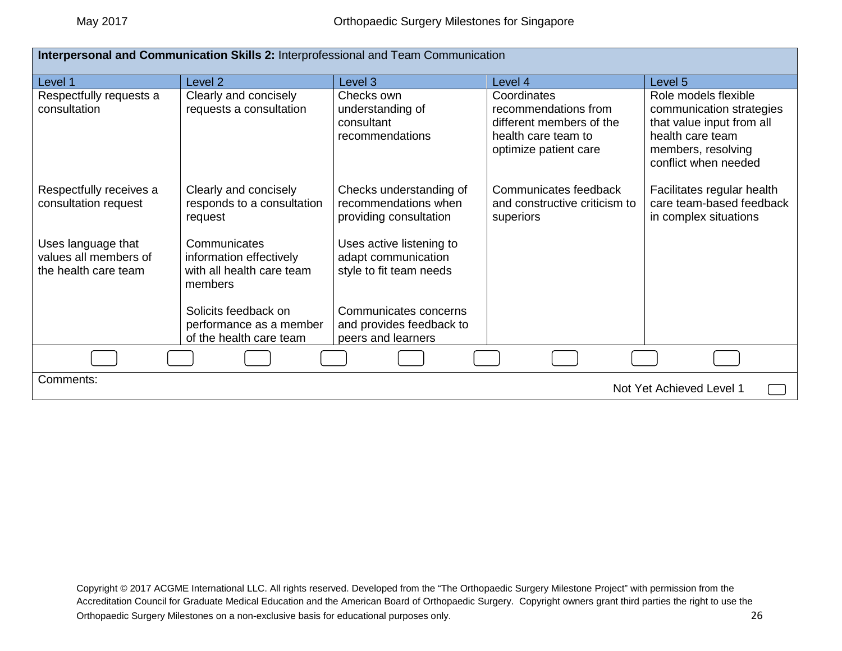| Interpersonal and Communication Skills 2: Interprofessional and Team Communication |                                                                                 |                                                                            |                                                                                                                 |                                                                                                                                                 |  |  |  |
|------------------------------------------------------------------------------------|---------------------------------------------------------------------------------|----------------------------------------------------------------------------|-----------------------------------------------------------------------------------------------------------------|-------------------------------------------------------------------------------------------------------------------------------------------------|--|--|--|
| Level 1                                                                            | Level 2                                                                         | Level 3                                                                    | Level 4                                                                                                         | Level 5                                                                                                                                         |  |  |  |
| Respectfully requests a<br>consultation                                            | Clearly and concisely<br>requests a consultation                                | Checks own<br>understanding of<br>consultant<br>recommendations            | Coordinates<br>recommendations from<br>different members of the<br>health care team to<br>optimize patient care | Role models flexible<br>communication strategies<br>that value input from all<br>health care team<br>members, resolving<br>conflict when needed |  |  |  |
| Respectfully receives a<br>consultation request                                    | Clearly and concisely<br>responds to a consultation<br>request                  | Checks understanding of<br>recommendations when<br>providing consultation  | Communicates feedback<br>and constructive criticism to<br>superiors                                             | Facilitates regular health<br>care team-based feedback<br>in complex situations                                                                 |  |  |  |
| Uses language that<br>values all members of<br>the health care team                | Communicates<br>information effectively<br>with all health care team<br>members | Uses active listening to<br>adapt communication<br>style to fit team needs |                                                                                                                 |                                                                                                                                                 |  |  |  |
|                                                                                    | Solicits feedback on<br>performance as a member<br>of the health care team      | Communicates concerns<br>and provides feedback to<br>peers and learners    |                                                                                                                 |                                                                                                                                                 |  |  |  |
|                                                                                    |                                                                                 |                                                                            |                                                                                                                 |                                                                                                                                                 |  |  |  |
| Comments:<br>Not Yet Achieved Level 1                                              |                                                                                 |                                                                            |                                                                                                                 |                                                                                                                                                 |  |  |  |